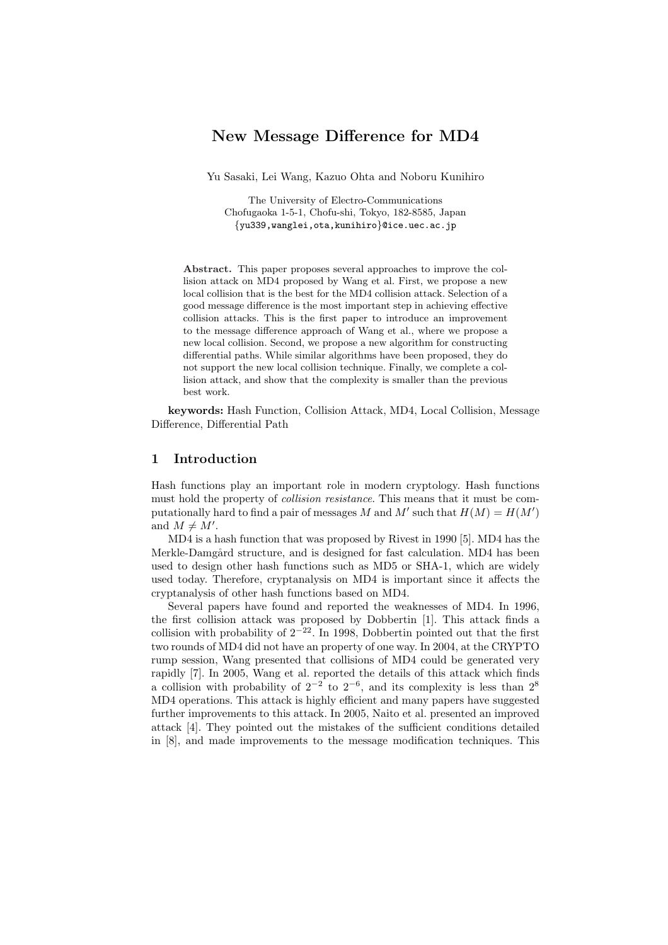# New Message Difference for MD4

Yu Sasaki, Lei Wang, Kazuo Ohta and Noboru Kunihiro

The University of Electro-Communications Chofugaoka 1-5-1, Chofu-shi, Tokyo, 182-8585, Japan {yu339,wanglei,ota,kunihiro}@ice.uec.ac.jp

Abstract. This paper proposes several approaches to improve the collision attack on MD4 proposed by Wang et al. First, we propose a new local collision that is the best for the MD4 collision attack. Selection of a good message difference is the most important step in achieving effective collision attacks. This is the first paper to introduce an improvement to the message difference approach of Wang et al., where we propose a new local collision. Second, we propose a new algorithm for constructing differential paths. While similar algorithms have been proposed, they do not support the new local collision technique. Finally, we complete a collision attack, and show that the complexity is smaller than the previous best work.

keywords: Hash Function, Collision Attack, MD4, Local Collision, Message Difference, Differential Path

## 1 Introduction

Hash functions play an important role in modern cryptology. Hash functions must hold the property of *collision resistance*. This means that it must be computationally hard to find a pair of messages M and M' such that  $H(M) = H(M')$ and  $M \neq M'$ .

MD4 is a hash function that was proposed by Rivest in 1990 [5]. MD4 has the Merkle-Damgård structure, and is designed for fast calculation. MD4 has been used to design other hash functions such as MD5 or SHA-1, which are widely used today. Therefore, cryptanalysis on MD4 is important since it affects the cryptanalysis of other hash functions based on MD4.

Several papers have found and reported the weaknesses of MD4. In 1996, the first collision attack was proposed by Dobbertin [1]. This attack finds a collision with probability of  $2^{-22}$ . In 1998, Dobbertin pointed out that the first two rounds of MD4 did not have an property of one way. In 2004, at the CRYPTO rump session, Wang presented that collisions of MD4 could be generated very rapidly [7]. In 2005, Wang et al. reported the details of this attack which finds a collision with probability of  $2^{-2}$  to  $2^{-6}$ , and its complexity is less than  $2^8$ MD4 operations. This attack is highly efficient and many papers have suggested further improvements to this attack. In 2005, Naito et al. presented an improved attack [4]. They pointed out the mistakes of the sufficient conditions detailed in [8], and made improvements to the message modification techniques. This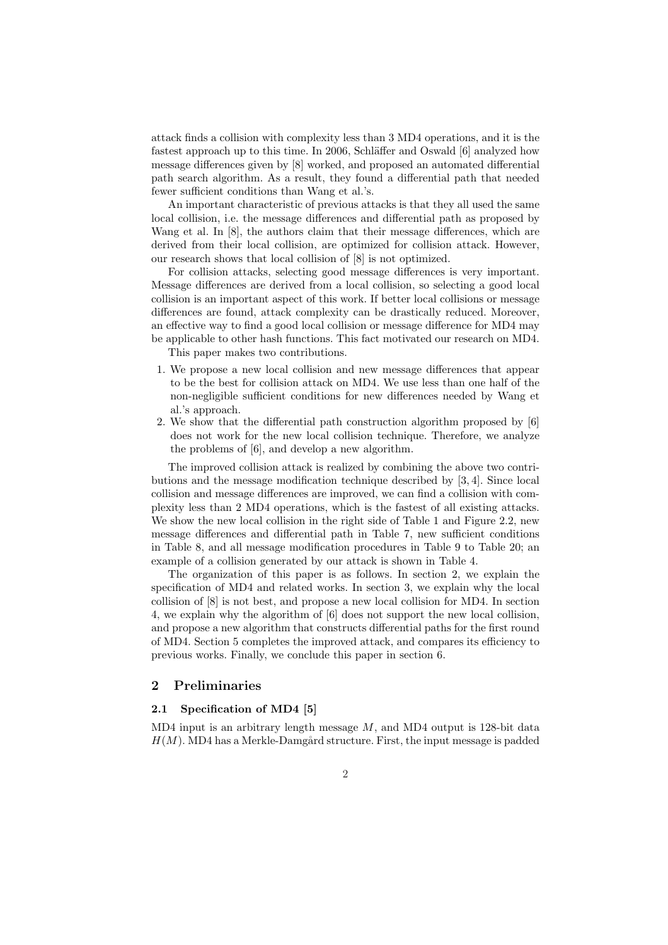attack finds a collision with complexity less than 3 MD4 operations, and it is the fastest approach up to this time. In 2006, Schläffer and Oswald [6] analyzed how message differences given by [8] worked, and proposed an automated differential path search algorithm. As a result, they found a differential path that needed fewer sufficient conditions than Wang et al.'s.

An important characteristic of previous attacks is that they all used the same local collision, i.e. the message differences and differential path as proposed by Wang et al. In [8], the authors claim that their message differences, which are derived from their local collision, are optimized for collision attack. However, our research shows that local collision of [8] is not optimized.

For collision attacks, selecting good message differences is very important. Message differences are derived from a local collision, so selecting a good local collision is an important aspect of this work. If better local collisions or message differences are found, attack complexity can be drastically reduced. Moreover, an effective way to find a good local collision or message difference for MD4 may be applicable to other hash functions. This fact motivated our research on MD4.

This paper makes two contributions.

- 1. We propose a new local collision and new message differences that appear to be the best for collision attack on MD4. We use less than one half of the non-negligible sufficient conditions for new differences needed by Wang et al.'s approach.
- 2. We show that the differential path construction algorithm proposed by [6] does not work for the new local collision technique. Therefore, we analyze the problems of [6], and develop a new algorithm.

The improved collision attack is realized by combining the above two contributions and the message modification technique described by [3, 4]. Since local collision and message differences are improved, we can find a collision with complexity less than 2 MD4 operations, which is the fastest of all existing attacks. We show the new local collision in the right side of Table 1 and Figure 2.2, new message differences and differential path in Table 7, new sufficient conditions in Table 8, and all message modification procedures in Table 9 to Table 20; an example of a collision generated by our attack is shown in Table 4.

The organization of this paper is as follows. In section 2, we explain the specification of MD4 and related works. In section 3, we explain why the local collision of [8] is not best, and propose a new local collision for MD4. In section 4, we explain why the algorithm of [6] does not support the new local collision, and propose a new algorithm that constructs differential paths for the first round of MD4. Section 5 completes the improved attack, and compares its efficiency to previous works. Finally, we conclude this paper in section 6.

## 2 Preliminaries

## 2.1 Specification of MD4 [5]

 $MD4$  input is an arbitrary length message  $M$ , and MD4 output is 128-bit data  $H(M)$ . MD4 has a Merkle-Damgård structure. First, the input message is padded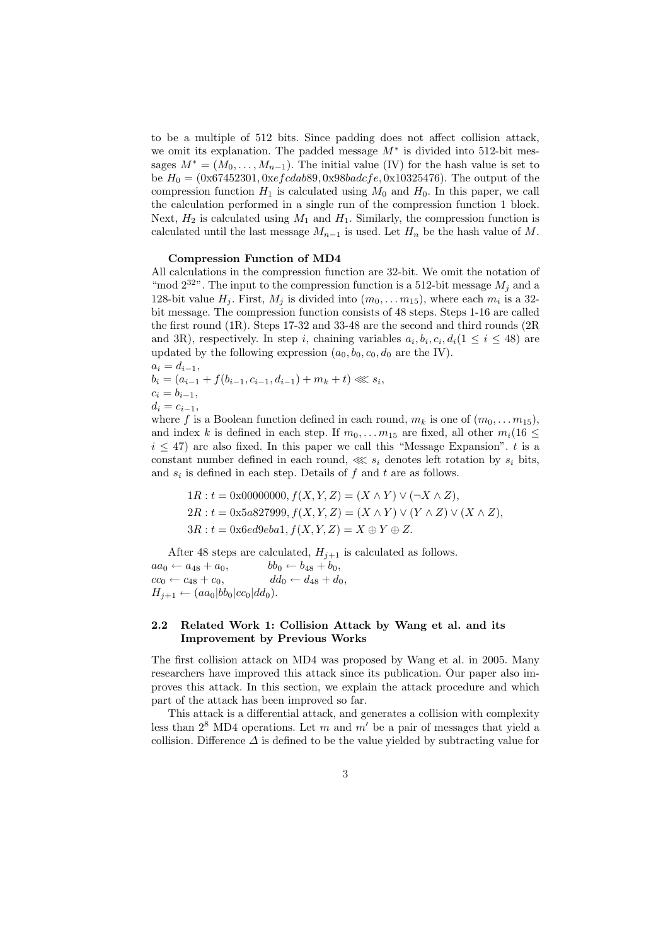to be a multiple of 512 bits. Since padding does not affect collision attack, we omit its explanation. The padded message  $M^*$  is divided into 512-bit messages  $M^* = (M_0, \ldots, M_{n-1})$ . The initial value (IV) for the hash value is set to be  $H_0 = (0 \times 67452301, 0 \times 674089, 0 \times 98640, 0 \times 10325476)$ . The output of the compression function  $H_1$  is calculated using  $M_0$  and  $H_0$ . In this paper, we call the calculation performed in a single run of the compression function 1 block. Next,  $H_2$  is calculated using  $M_1$  and  $H_1$ . Similarly, the compression function is calculated until the last message  $M_{n-1}$  is used. Let  $H_n$  be the hash value of M.

#### Compression Function of MD4

All calculations in the compression function are 32-bit. We omit the notation of "mod  $2^{32}$ ". The input to the compression function is a 512-bit message  $M_i$  and a 128-bit value  $H_j$ . First,  $M_j$  is divided into  $(m_0, \ldots m_{15})$ , where each  $m_i$  is a 32bit message. The compression function consists of 48 steps. Steps 1-16 are called the first round (1R). Steps 17-32 and 33-48 are the second and third rounds (2R and 3R), respectively. In step i, chaining variables  $a_i, b_i, c_i, d_i (1 \leq i \leq 48)$  are updated by the following expression  $(a_0, b_0, c_0, d_0)$  are the IV).

 $a_i = d_{i-1},$  $b_i = (a_{i-1} + f(b_{i-1}, c_{i-1}, d_{i-1}) + m_k + t) \ll s_i,$  $c_i = b_{i-1},$  $d_i = c_{i-1},$ 

where f is a Boolean function defined in each round,  $m_k$  is one of  $(m_0, \ldots m_{15})$ , and index k is defined in each step. If  $m_0, \ldots m_{15}$  are fixed, all other  $m_i(16 \leq$  $i \leq 47$ ) are also fixed. In this paper we call this "Message Expansion". t is a constant number defined in each round,  $\lll s_i$  denotes left rotation by  $s_i$  bits, and  $s_i$  is defined in each step. Details of  $f$  and  $t$  are as follows.

$$
1R: t = 0 \times 00000000, f(X, Y, Z) = (X \wedge Y) \vee (\neg X \wedge Z),
$$
  
\n
$$
2R: t = 0 \times 5a827999, f(X, Y, Z) = (X \wedge Y) \vee (Y \wedge Z) \vee (X \wedge Z),
$$
  
\n
$$
3R: t = 0 \times 6e49eba1, f(X, Y, Z) = X \oplus Y \oplus Z.
$$

After 48 steps are calculated,  $H_{j+1}$  is calculated as follows. aa<sup>0</sup> ← a<sup>48</sup> + a0, bb<sup>0</sup> ← b<sup>48</sup> + b0,  $cc_0 \leftarrow c_{48} + c_0, \t dd_0 \leftarrow d_{48} + d_0,$  $H_{j+1} \leftarrow (aa_0|bb_0|cc_0|dd_0).$ 

## 2.2 Related Work 1: Collision Attack by Wang et al. and its Improvement by Previous Works

The first collision attack on MD4 was proposed by Wang et al. in 2005. Many researchers have improved this attack since its publication. Our paper also improves this attack. In this section, we explain the attack procedure and which part of the attack has been improved so far.

This attack is a differential attack, and generates a collision with complexity less than  $2^8$  MD4 operations. Let m and m' be a pair of messages that yield a collision. Difference  $\Delta$  is defined to be the value yielded by subtracting value for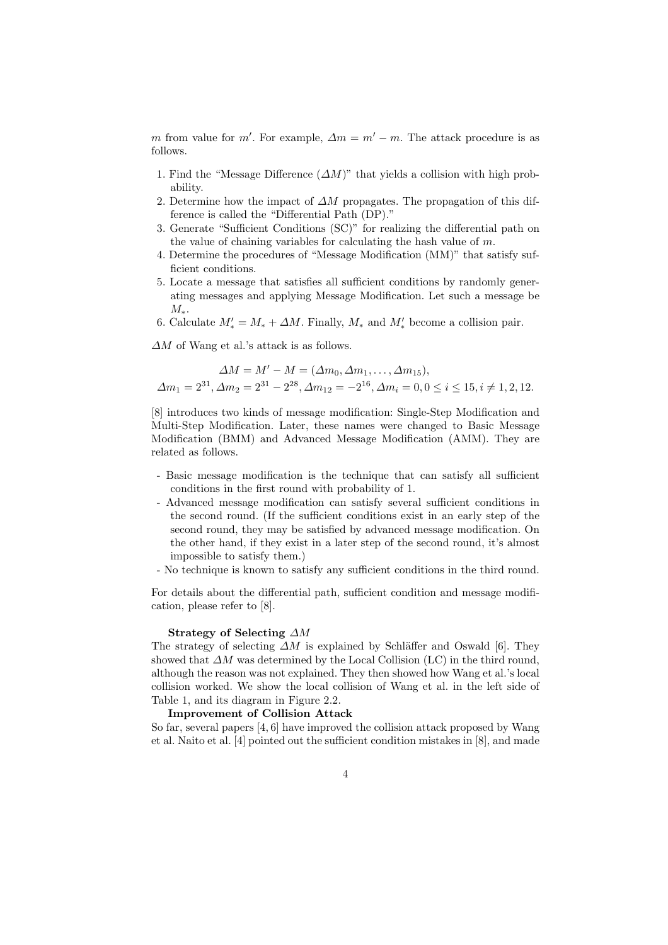m from value for m'. For example,  $\Delta m = m' - m$ . The attack procedure is as follows.

- 1. Find the "Message Difference  $(\Delta M)$ " that yields a collision with high probability.
- 2. Determine how the impact of  $\Delta M$  propagates. The propagation of this difference is called the "Differential Path (DP)."
- 3. Generate "Sufficient Conditions (SC)" for realizing the differential path on the value of chaining variables for calculating the hash value of  $m$ .
- 4. Determine the procedures of "Message Modification (MM)" that satisfy sufficient conditions.
- 5. Locate a message that satisfies all sufficient conditions by randomly generating messages and applying Message Modification. Let such a message be  $M_{*}.$
- 6. Calculate  $M'_* = M_* + \Delta M$ . Finally,  $M_*$  and  $M'_*$  become a collision pair.

 $\Delta M$  of Wang et al.'s attack is as follows.

$$
\Delta M = M' - M = (\Delta m_0, \Delta m_1, \dots, \Delta m_{15}),
$$
  

$$
\Delta m_1 = 2^{31}, \Delta m_2 = 2^{31} - 2^{38}, \Delta m_{12} = -2^{16}, \Delta m_i = 0, 0 \le i \le 15, i \ne 1, 2, 12.
$$

[8] introduces two kinds of message modification: Single-Step Modification and Multi-Step Modification. Later, these names were changed to Basic Message Modification (BMM) and Advanced Message Modification (AMM). They are related as follows.

- Basic message modification is the technique that can satisfy all sufficient conditions in the first round with probability of 1.
- Advanced message modification can satisfy several sufficient conditions in the second round. (If the sufficient conditions exist in an early step of the second round, they may be satisfied by advanced message modification. On the other hand, if they exist in a later step of the second round, it's almost impossible to satisfy them.)
- No technique is known to satisfy any sufficient conditions in the third round.

For details about the differential path, sufficient condition and message modification, please refer to [8].

#### Strategy of Selecting ∆M

The strategy of selecting  $\Delta M$  is explained by Schläffer and Oswald [6]. They showed that  $\Delta M$  was determined by the Local Collision (LC) in the third round, although the reason was not explained. They then showed how Wang et al.'s local collision worked. We show the local collision of Wang et al. in the left side of Table 1, and its diagram in Figure 2.2.

#### Improvement of Collision Attack

So far, several papers [4, 6] have improved the collision attack proposed by Wang et al. Naito et al. [4] pointed out the sufficient condition mistakes in [8], and made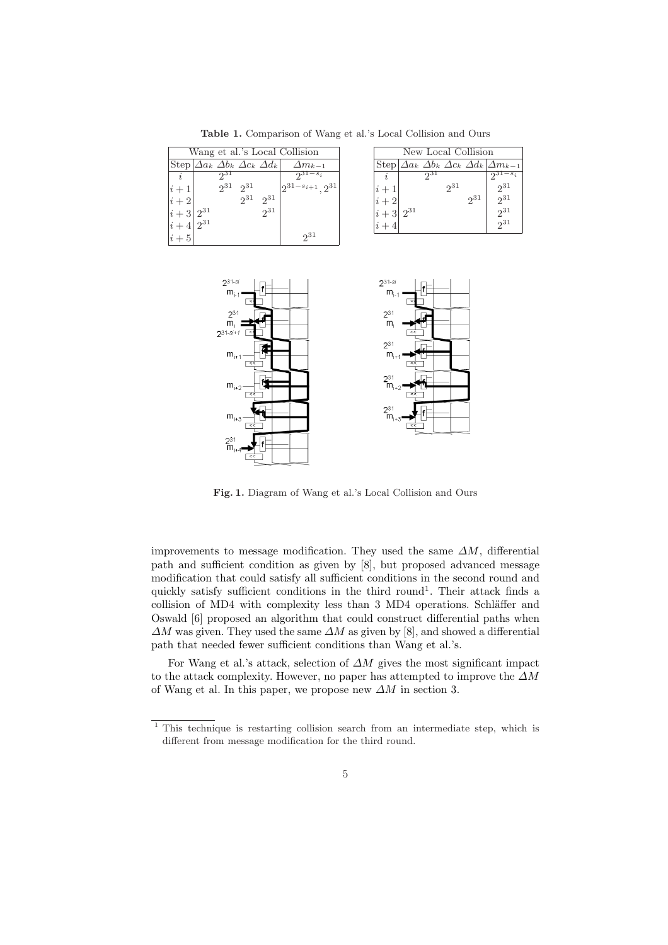Table 1. Comparison of Wang et al.'s Local Collision and Ours

| Wang et al.'s Local Collision                      |                               |         |               |     |          | New Local Collision |                                                                     |
|----------------------------------------------------|-------------------------------|---------|---------------|-----|----------|---------------------|---------------------------------------------------------------------|
| Step $\Delta a_k \Delta b_k \Delta c_k \Delta d_k$ | $\Delta m_{k-1}$              |         |               |     |          |                     | Step $\Delta a_k \Delta b_k \Delta c_k \Delta d_k$ $\Delta m_{k-1}$ |
| 931<br>$\dot{i}$                                   | $-s_i$                        |         |               | 931 |          |                     | $2^{31-s_i}$                                                        |
| $2^{31}$<br>$2^{31}$<br>$i+1$                      | $2^{31-s_{i+1}} \cdot 2^{31}$ | $(i+1)$ |               |     | $2^{31}$ |                     | $2^{31}$                                                            |
| $2^{31}$<br>$2^{31}$<br>$ i+2 $                    |                               | $(i+2)$ |               |     |          | 231                 | $2^{31}$                                                            |
| 231<br>$2^{31}$<br>$ i+3 $                         |                               |         | $ i+3 2^{31}$ |     |          |                     | $2^{31}$                                                            |
| $2^{31}$<br>$ i+4 $                                |                               | $i+4$   |               |     |          |                     | $2^{31}$                                                            |
| $ i+5 $                                            | $2^{31}$                      |         |               |     |          |                     |                                                                     |
|                                                    |                               |         |               |     |          |                     |                                                                     |



Fig. 1. Diagram of Wang et al.'s Local Collision and Ours

improvements to message modification. They used the same  $\Delta M$ , differential path and sufficient condition as given by [8], but proposed advanced message modification that could satisfy all sufficient conditions in the second round and quickly satisfy sufficient conditions in the third round<sup>1</sup>. Their attack finds a collision of MD4 with complexity less than 3 MD4 operations. Schläffer and Oswald [6] proposed an algorithm that could construct differential paths when  $\Delta M$  was given. They used the same  $\Delta M$  as given by [8], and showed a differential path that needed fewer sufficient conditions than Wang et al.'s.

For Wang et al.'s attack, selection of  $\Delta M$  gives the most significant impact to the attack complexity. However, no paper has attempted to improve the  $\Delta M$ of Wang et al. In this paper, we propose new  $\Delta M$  in section 3.

<sup>&</sup>lt;sup>1</sup> This technique is restarting collision search from an intermediate step, which is different from message modification for the third round.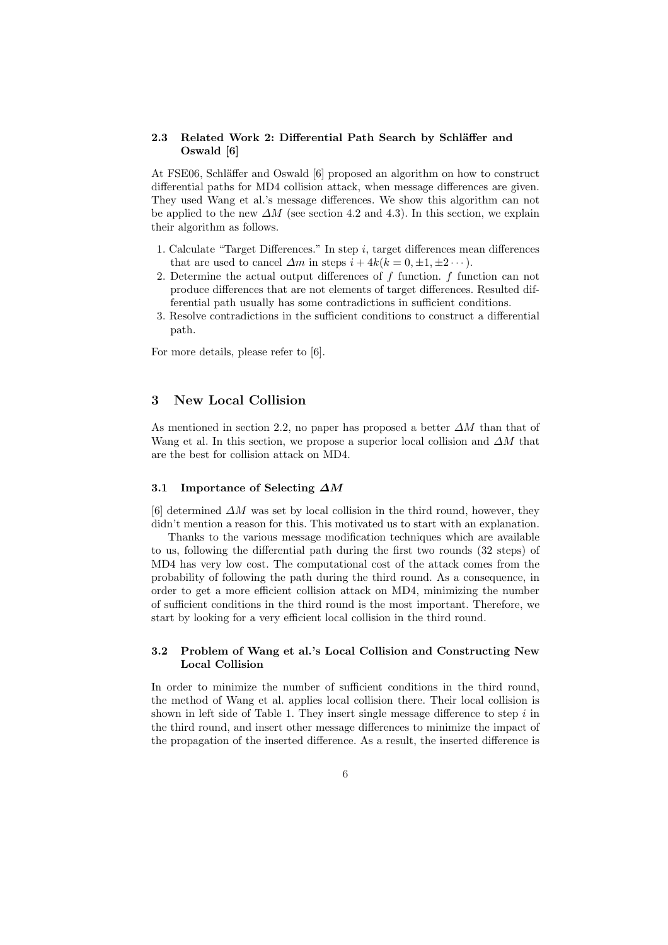## 2.3 Related Work 2: Differential Path Search by Schläffer and Oswald [6]

At FSE06, Schläffer and Oswald [6] proposed an algorithm on how to construct differential paths for MD4 collision attack, when message differences are given. They used Wang et al.'s message differences. We show this algorithm can not be applied to the new  $\Delta M$  (see section 4.2 and 4.3). In this section, we explain their algorithm as follows.

- 1. Calculate "Target Differences." In step i, target differences mean differences that are used to cancel  $\Delta m$  in steps  $i + 4k(k = 0, \pm 1, \pm 2 \cdots)$ .
- 2. Determine the actual output differences of  $f$  function.  $f$  function can not produce differences that are not elements of target differences. Resulted differential path usually has some contradictions in sufficient conditions.
- 3. Resolve contradictions in the sufficient conditions to construct a differential path.

For more details, please refer to [6].

## 3 New Local Collision

As mentioned in section 2.2, no paper has proposed a better  $\Delta M$  than that of Wang et al. In this section, we propose a superior local collision and  $\Delta M$  that are the best for collision attack on MD4.

#### 3.1 Importance of Selecting  $\Delta M$

 $[6]$  determined  $\Delta M$  was set by local collision in the third round, however, they didn't mention a reason for this. This motivated us to start with an explanation.

Thanks to the various message modification techniques which are available to us, following the differential path during the first two rounds (32 steps) of MD4 has very low cost. The computational cost of the attack comes from the probability of following the path during the third round. As a consequence, in order to get a more efficient collision attack on MD4, minimizing the number of sufficient conditions in the third round is the most important. Therefore, we start by looking for a very efficient local collision in the third round.

## 3.2 Problem of Wang et al.'s Local Collision and Constructing New Local Collision

In order to minimize the number of sufficient conditions in the third round, the method of Wang et al. applies local collision there. Their local collision is shown in left side of Table 1. They insert single message difference to step  $i$  in the third round, and insert other message differences to minimize the impact of the propagation of the inserted difference. As a result, the inserted difference is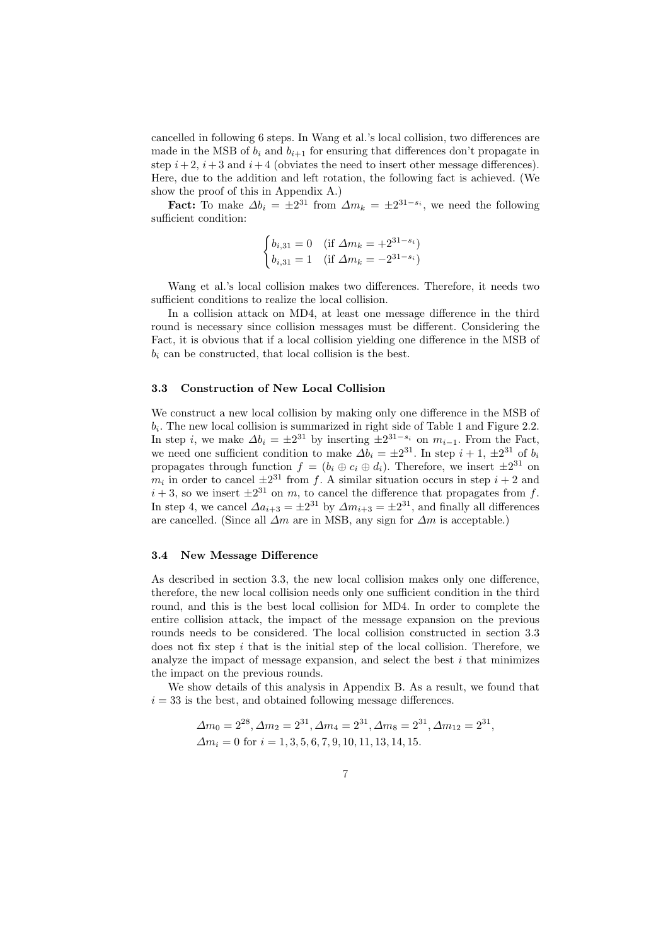cancelled in following 6 steps. In Wang et al.'s local collision, two differences are made in the MSB of  $b_i$  and  $b_{i+1}$  for ensuring that differences don't propagate in step  $i+2$ ,  $i+3$  and  $i+4$  (obviates the need to insert other message differences). Here, due to the addition and left rotation, the following fact is achieved. (We show the proof of this in Appendix A.)

**Fact:** To make  $\Delta b_i = \pm 2^{31}$  from  $\Delta m_k = \pm 2^{31-s_i}$ , we need the following sufficient condition:

$$
\begin{cases} b_{i,31} = 0 & \text{(if } \Delta m_k = +2^{31-s_i})\\ b_{i,31} = 1 & \text{(if } \Delta m_k = -2^{31-s_i}) \end{cases}
$$

Wang et al.'s local collision makes two differences. Therefore, it needs two sufficient conditions to realize the local collision.

In a collision attack on MD4, at least one message difference in the third round is necessary since collision messages must be different. Considering the Fact, it is obvious that if a local collision yielding one difference in the MSB of  $b_i$  can be constructed, that local collision is the best.

### 3.3 Construction of New Local Collision

We construct a new local collision by making only one difference in the MSB of  $b_i$ . The new local collision is summarized in right side of Table 1 and Figure 2.2. In step *i*, we make  $\Delta b_i = \pm 2^{31}$  by inserting  $\pm 2^{31-s_i}$  on  $m_{i-1}$ . From the Fact, we need one sufficient condition to make  $\Delta b_i = \pm 2^{31}$ . In step  $i + 1, \pm 2^{31}$  of  $b_i$ propagates through function  $f = (b_i \oplus c_i \oplus d_i)$ . Therefore, we insert  $\pm 2^{31}$  on  $m_i$  in order to cancel  $\pm 2^{31}$  from f. A similar situation occurs in step  $i + 2$  and  $i + 3$ , so we insert  $\pm 2^{31}$  on m, to cancel the difference that propagates from f. In step 4, we cancel  $\Delta a_{i+3} = \pm 2^{31}$  by  $\Delta m_{i+3} = \pm 2^{31}$ , and finally all differences are cancelled. (Since all  $\Delta m$  are in MSB, any sign for  $\Delta m$  is acceptable.)

#### 3.4 New Message Difference

As described in section 3.3, the new local collision makes only one difference, therefore, the new local collision needs only one sufficient condition in the third round, and this is the best local collision for MD4. In order to complete the entire collision attack, the impact of the message expansion on the previous rounds needs to be considered. The local collision constructed in section 3.3 does not fix step  $i$  that is the initial step of the local collision. Therefore, we analyze the impact of message expansion, and select the best  $i$  that minimizes the impact on the previous rounds.

We show details of this analysis in Appendix B. As a result, we found that  $i = 33$  is the best, and obtained following message differences.

$$
\Delta m_0 = 2^{28}, \Delta m_2 = 2^{31}, \Delta m_4 = 2^{31}, \Delta m_8 = 2^{31}, \Delta m_{12} = 2^{31}, \Delta m_i = 0 \text{ for } i = 1, 3, 5, 6, 7, 9, 10, 11, 13, 14, 15.
$$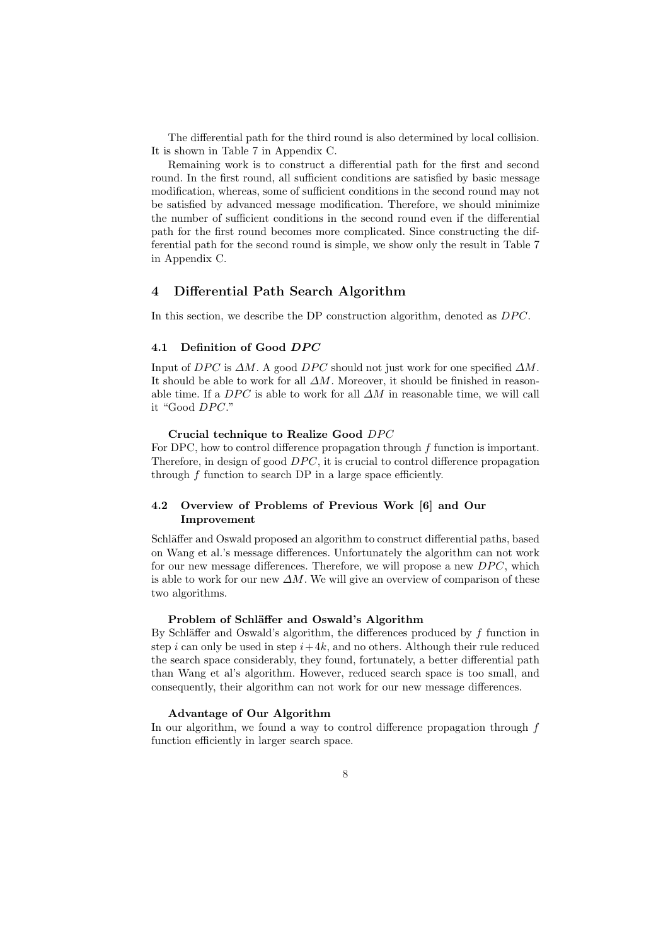The differential path for the third round is also determined by local collision. It is shown in Table 7 in Appendix C.

Remaining work is to construct a differential path for the first and second round. In the first round, all sufficient conditions are satisfied by basic message modification, whereas, some of sufficient conditions in the second round may not be satisfied by advanced message modification. Therefore, we should minimize the number of sufficient conditions in the second round even if the differential path for the first round becomes more complicated. Since constructing the differential path for the second round is simple, we show only the result in Table 7 in Appendix C.

## 4 Differential Path Search Algorithm

In this section, we describe the DP construction algorithm, denoted as  $DPC$ .

#### 4.1 Definition of Good DPC

Input of DPC is  $\Delta M$ . A good DPC should not just work for one specified  $\Delta M$ . It should be able to work for all  $\Delta M$ . Moreover, it should be finished in reasonable time. If a  $DPC$  is able to work for all  $\Delta M$  in reasonable time, we will call it "Good DPC."

### Crucial technique to Realize Good DPC

For DPC, how to control difference propagation through  $f$  function is important. Therefore, in design of good  $DPC$ , it is crucial to control difference propagation through  $f$  function to search DP in a large space efficiently.

## 4.2 Overview of Problems of Previous Work [6] and Our Improvement

Schläffer and Oswald proposed an algorithm to construct differential paths, based on Wang et al.'s message differences. Unfortunately the algorithm can not work for our new message differences. Therefore, we will propose a new  $DPC$ , which is able to work for our new  $\Delta M$ . We will give an overview of comparison of these two algorithms.

## Problem of Schläffer and Oswald's Algorithm

By Schläffer and Oswald's algorithm, the differences produced by  $f$  function in step i can only be used in step  $i+4k$ , and no others. Although their rule reduced the search space considerably, they found, fortunately, a better differential path than Wang et al's algorithm. However, reduced search space is too small, and consequently, their algorithm can not work for our new message differences.

#### Advantage of Our Algorithm

In our algorithm, we found a way to control difference propagation through  $f$ function efficiently in larger search space.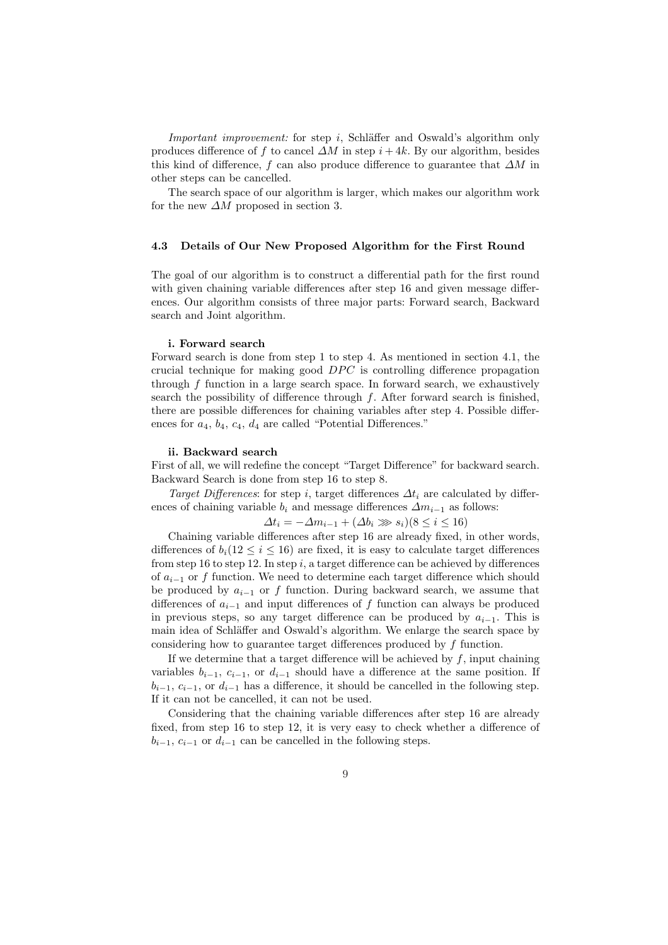Important improvement: for step i, Schläffer and Oswald's algorithm only produces difference of f to cancel  $\Delta M$  in step  $i + 4k$ . By our algorithm, besides this kind of difference, f can also produce difference to guarantee that  $\Delta M$  in other steps can be cancelled.

The search space of our algorithm is larger, which makes our algorithm work for the new  $\Delta M$  proposed in section 3.

#### 4.3 Details of Our New Proposed Algorithm for the First Round

The goal of our algorithm is to construct a differential path for the first round with given chaining variable differences after step 16 and given message differences. Our algorithm consists of three major parts: Forward search, Backward search and Joint algorithm.

#### i. Forward search

Forward search is done from step 1 to step 4. As mentioned in section 4.1, the crucial technique for making good  $DPC$  is controlling difference propagation through f function in a large search space. In forward search, we exhaustively search the possibility of difference through  $f$ . After forward search is finished, there are possible differences for chaining variables after step 4. Possible differences for  $a_4$ ,  $b_4$ ,  $c_4$ ,  $d_4$  are called "Potential Differences."

#### ii. Backward search

First of all, we will redefine the concept "Target Difference" for backward search. Backward Search is done from step 16 to step 8.

Target Differences: for step i, target differences  $\Delta t_i$  are calculated by differences of chaining variable  $b_i$  and message differences  $\Delta m_{i-1}$  as follows:

$$
\Delta t_i = -\Delta m_{i-1} + (\Delta b_i \gg s_i)(8 \le i \le 16)
$$

Chaining variable differences after step 16 are already fixed, in other words, differences of  $b_i(12 \leq i \leq 16)$  are fixed, it is easy to calculate target differences from step 16 to step 12. In step i, a target difference can be achieved by differences of  $a_{i-1}$  or f function. We need to determine each target difference which should be produced by  $a_{i-1}$  or f function. During backward search, we assume that differences of  $a_{i-1}$  and input differences of f function can always be produced in previous steps, so any target difference can be produced by  $a_{i-1}$ . This is main idea of Schläffer and Oswald's algorithm. We enlarge the search space by considering how to guarantee target differences produced by f function.

If we determine that a target difference will be achieved by  $f$ , input chaining variables  $b_{i-1}$ ,  $c_{i-1}$ , or  $d_{i-1}$  should have a difference at the same position. If  $b_{i-1}, c_{i-1}$ , or  $d_{i-1}$  has a difference, it should be cancelled in the following step. If it can not be cancelled, it can not be used.

Considering that the chaining variable differences after step 16 are already fixed, from step 16 to step 12, it is very easy to check whether a difference of  $b_{i-1}, c_{i-1}$  or  $d_{i-1}$  can be cancelled in the following steps.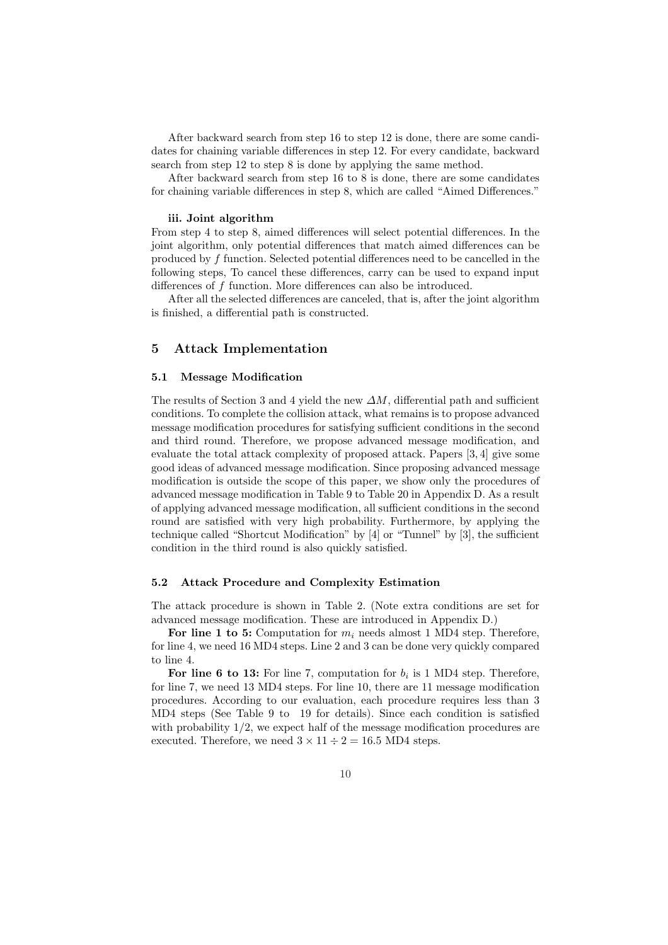After backward search from step 16 to step 12 is done, there are some candidates for chaining variable differences in step 12. For every candidate, backward search from step 12 to step 8 is done by applying the same method.

After backward search from step 16 to 8 is done, there are some candidates for chaining variable differences in step 8, which are called "Aimed Differences."

### iii. Joint algorithm

From step 4 to step 8, aimed differences will select potential differences. In the joint algorithm, only potential differences that match aimed differences can be produced by f function. Selected potential differences need to be cancelled in the following steps, To cancel these differences, carry can be used to expand input differences of f function. More differences can also be introduced.

After all the selected differences are canceled, that is, after the joint algorithm is finished, a differential path is constructed.

## 5 Attack Implementation

### 5.1 Message Modification

The results of Section 3 and 4 yield the new  $\Delta M$ , differential path and sufficient conditions. To complete the collision attack, what remains is to propose advanced message modification procedures for satisfying sufficient conditions in the second and third round. Therefore, we propose advanced message modification, and evaluate the total attack complexity of proposed attack. Papers [3, 4] give some good ideas of advanced message modification. Since proposing advanced message modification is outside the scope of this paper, we show only the procedures of advanced message modification in Table 9 to Table 20 in Appendix D. As a result of applying advanced message modification, all sufficient conditions in the second round are satisfied with very high probability. Furthermore, by applying the technique called "Shortcut Modification" by [4] or "Tunnel" by [3], the sufficient condition in the third round is also quickly satisfied.

### 5.2 Attack Procedure and Complexity Estimation

The attack procedure is shown in Table 2. (Note extra conditions are set for advanced message modification. These are introduced in Appendix D.)

For line 1 to 5: Computation for  $m_i$  needs almost 1 MD4 step. Therefore, for line 4, we need 16 MD4 steps. Line 2 and 3 can be done very quickly compared to line 4.

For line 6 to 13: For line 7, computation for  $b_i$  is 1 MD4 step. Therefore, for line 7, we need 13 MD4 steps. For line 10, there are 11 message modification procedures. According to our evaluation, each procedure requires less than 3 MD4 steps (See Table 9 to 19 for details). Since each condition is satisfied with probability  $1/2$ , we expect half of the message modification procedures are executed. Therefore, we need  $3 \times 11 \div 2 = 16.5$  MD4 steps.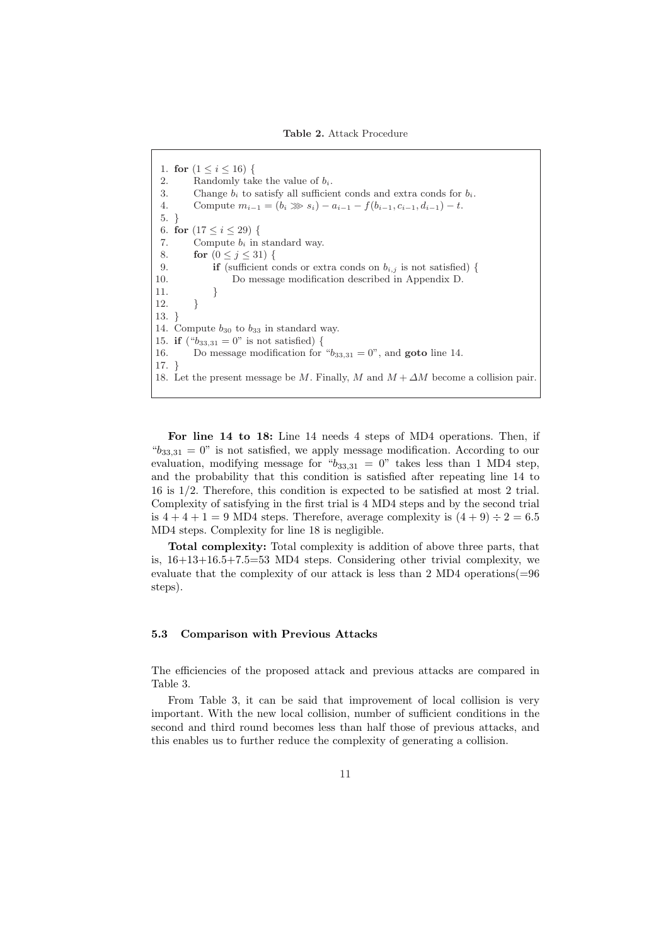1. for  $(1 \leq i \leq 16)$  { 2. Randomly take the value of  $b_i$ . 3. Change  $b_i$  to satisfy all sufficient conds and extra conds for  $b_i$ . 4. Compute  $m_{i-1} = (b_i \gg s_i) - a_{i-1} - f(b_{i-1}, c_{i-1}, d_{i-1}) - t$ . 5. } 6. for  $(17 \le i \le 29)$  { 7. Compute  $b_i$  in standard way. 8. for  $(0 < j < 31)$  { 9. **if** (sufficient conds or extra conds on  $b_{i,j}$  is not satisfied) { 10. Do message modification described in Appendix D. 11. }  $12.$  } 13. } 14. Compute  $b_{30}$  to  $b_{33}$  in standard way. 15. **if** ( $b_{33,31} = 0$ " is not satisfied) { 16. Do message modification for " $b_{33,31} = 0$ ", and **goto** line 14. 17. } 18. Let the present message be M. Finally, M and  $M + \Delta M$  become a collision pair.

For line 14 to 18: Line 14 needs 4 steps of MD4 operations. Then, if  $b_{33,31} = 0$ " is not satisfied, we apply message modification. According to our evaluation, modifying message for " $b_{33,31} = 0$ " takes less than 1 MD4 step, and the probability that this condition is satisfied after repeating line 14 to 16 is 1/2. Therefore, this condition is expected to be satisfied at most 2 trial. Complexity of satisfying in the first trial is 4 MD4 steps and by the second trial is  $4+4+1=9$  MD4 steps. Therefore, average complexity is  $(4+9) \div 2 = 6.5$ MD4 steps. Complexity for line 18 is negligible.

Total complexity: Total complexity is addition of above three parts, that is,  $16+13+16.5+7.5=53$  MD4 steps. Considering other trivial complexity, we evaluate that the complexity of our attack is less than 2 MD4 operations  $(=96$ steps).

### 5.3 Comparison with Previous Attacks

The efficiencies of the proposed attack and previous attacks are compared in Table 3.

From Table 3, it can be said that improvement of local collision is very important. With the new local collision, number of sufficient conditions in the second and third round becomes less than half those of previous attacks, and this enables us to further reduce the complexity of generating a collision.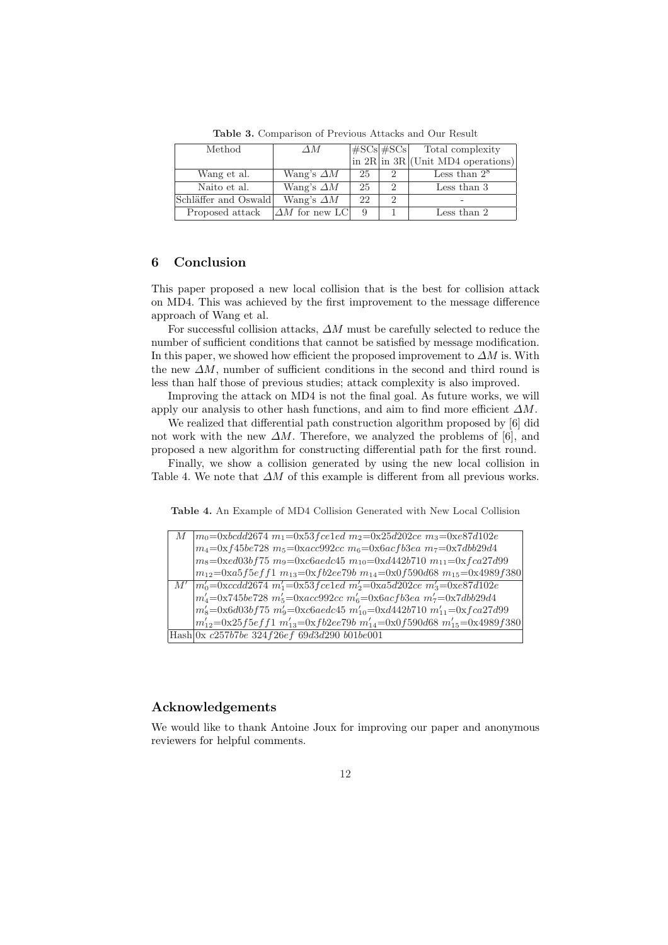| Method               | ΛМ                     |    |               | $\left \frac{\text{\#SCs}}{\text{\#SCs}}\right $ $\frac{\text{Total complexity}}{\text{in } 2R \text{ in } 3R}$ (Unit MD4 operations) |
|----------------------|------------------------|----|---------------|---------------------------------------------------------------------------------------------------------------------------------------|
|                      |                        |    |               |                                                                                                                                       |
| Wang et al.          | Wang's $\Delta M$      | 25 | $\mathcal{D}$ | Less than $2^8$                                                                                                                       |
| Naito et al.         | Wang's $\Delta M$      | 25 | $\mathcal{D}$ | Less than 3                                                                                                                           |
| Schläffer and Oswald | Wang's $\Delta M$      | 22 | $\mathcal{D}$ |                                                                                                                                       |
| Proposed attack      | $ \Delta M$ for new LC | 9  |               | Less than 2                                                                                                                           |

Table 3. Comparison of Previous Attacks and Our Result

## 6 Conclusion

This paper proposed a new local collision that is the best for collision attack on MD4. This was achieved by the first improvement to the message difference approach of Wang et al.

For successful collision attacks,  $\Delta M$  must be carefully selected to reduce the number of sufficient conditions that cannot be satisfied by message modification. In this paper, we showed how efficient the proposed improvement to  $\Delta M$  is. With the new  $\Delta M$ , number of sufficient conditions in the second and third round is less than half those of previous studies; attack complexity is also improved.

Improving the attack on MD4 is not the final goal. As future works, we will apply our analysis to other hash functions, and aim to find more efficient  $\Delta M$ .

We realized that differential path construction algorithm proposed by [6] did not work with the new  $\Delta M$ . Therefore, we analyzed the problems of [6], and proposed a new algorithm for constructing differential path for the first round.

Finally, we show a collision generated by using the new local collision in Table 4. We note that  $\Delta M$  of this example is different from all previous works.

Table 4. An Example of MD4 Collision Generated with New Local Collision

| $M \mid m_0 = 0 \times bcdd2674 \ m_1 = 0 \times 53 \, fce1ed \ m_2 = 0 \times 25d202ce \ m_3 = 0 \times 87d102e$              |
|--------------------------------------------------------------------------------------------------------------------------------|
| $ m_4 = 0xf45be728 m_5 = 0xacc992cc m_6 = 0x6acfb3ea m_7 = 0x7dbb29d4$                                                         |
| $ m_8 = 0 \times d03b f75 m_9 = 0 \times c6aedc45 m_{10} = 0 \times d442b710 m_{11} = 0 \times fca27d99$                       |
| $ m_{12}=0$ xa5f5eff1 m <sub>13</sub> =0xfb2ee79b m <sub>14</sub> =0x0f590d68 m <sub>15</sub> =0x4989f380                      |
| $M'$  m' <sub>0</sub> =0xccdd2674 m' <sub>1</sub> =0x53 <i>f</i> celed m' <sub>2</sub> =0xa5d202ce m' <sub>3</sub> =0xe87d102e |
| $ m'_4 = 0x745be728 m'_5 = 0xacc992cc m'_6 = 0x6acfb3ea m'_7 = 0x7dbb29d4$                                                     |
| $ m'_8 = 0 \times 6d03b$ f 75 $m'_9 = 0 \times 6a$ edc45 $m'_{10} = 0 \times 4442b$ 710 $m'_{11} = 0 \times 6a27d99$           |
| $ m'_{12}=0x25f5eff1\ m'_{13}=0xfb2ee79b\ m'_{14}=0x0f590d68\ m'_{15}=0x4989f380$                                              |
| Hash 0x c257b7be 324f26ef 69d3d290 b01be001                                                                                    |

## Acknowledgements

We would like to thank Antoine Joux for improving our paper and anonymous reviewers for helpful comments.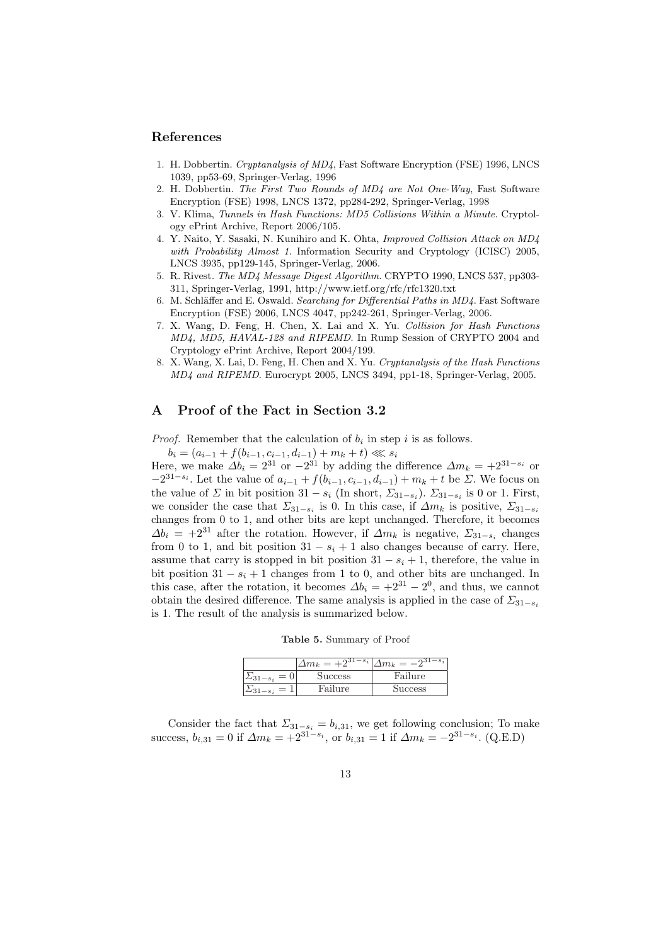## References

- 1. H. Dobbertin. Cryptanalysis of MD4, Fast Software Encryption (FSE) 1996, LNCS 1039, pp53-69, Springer-Verlag, 1996
- 2. H. Dobbertin. The First Two Rounds of MD4 are Not One-Way, Fast Software Encryption (FSE) 1998, LNCS 1372, pp284-292, Springer-Verlag, 1998
- 3. V. Klima, Tunnels in Hash Functions: MD5 Collisions Within a Minute. Cryptology ePrint Archive, Report 2006/105.
- 4. Y. Naito, Y. Sasaki, N. Kunihiro and K. Ohta, Improved Collision Attack on MD4 with Probability Almost 1. Information Security and Cryptology (ICISC) 2005, LNCS 3935, pp129-145, Springer-Verlag, 2006.
- 5. R. Rivest. The MD4 Message Digest Algorithm. CRYPTO 1990, LNCS 537, pp303- 311, Springer-Verlag, 1991, http://www.ietf.org/rfc/rfc1320.txt
- 6. M. Schläffer and E. Oswald. Searching for Differential Paths in MD4. Fast Software Encryption (FSE) 2006, LNCS 4047, pp242-261, Springer-Verlag, 2006.
- 7. X. Wang, D. Feng, H. Chen, X. Lai and X. Yu. Collision for Hash Functions MD4, MD5, HAVAL-128 and RIPEMD. In Rump Session of CRYPTO 2004 and Cryptology ePrint Archive, Report 2004/199.
- 8. X. Wang, X. Lai, D. Feng, H. Chen and X. Yu. Cryptanalysis of the Hash Functions MD4 and RIPEMD. Eurocrypt 2005, LNCS 3494, pp1-18, Springer-Verlag, 2005.

## A Proof of the Fact in Section 3.2

*Proof.* Remember that the calculation of  $b_i$  in step i is as follows.

 $b_i = (a_{i-1} + f(b_{i-1}, c_{i-1}, d_{i-1}) + m_k + t) \ll s_i$ 

Here, we make  $\Delta b_i = 2^{31}$  or  $-2^{31}$  by adding the difference  $\Delta m_k = +2^{31-s_i}$  or  $-2^{31-s_i}$ . Let the value of  $a_{i-1} + f(b_{i-1}, c_{i-1}, d_{i-1}) + m_k + t$  be ∑. We focus on the value of  $\Sigma$  in bit position  $31 - s_i$  (In short,  $\Sigma_{31-s_i}$ ).  $\Sigma_{31-s_i}$  is 0 or 1. First, we consider the case that  $\Sigma_{31-s_i}$  is 0. In this case, if  $\Delta m_k$  is positive,  $\Sigma_{31-s_i}$ changes from 0 to 1, and other bits are kept unchanged. Therefore, it becomes  $\Delta b_i = +2^{31}$  after the rotation. However, if  $\Delta m_k$  is negative,  $\Sigma_{31-s_i}$  changes from 0 to 1, and bit position  $31 - s_i + 1$  also changes because of carry. Here, assume that carry is stopped in bit position  $31 - s_i + 1$ , therefore, the value in bit position  $31 - s_i + 1$  changes from 1 to 0, and other bits are unchanged. In this case, after the rotation, it becomes  $\Delta b_i = +2^{31} - 2^0$ , and thus, we cannot obtain the desired difference. The same analysis is applied in the case of  $\Sigma_{31-s_i}$ is 1. The result of the analysis is summarized below.

Table 5. Summary of Proof

|                     | $\Delta m_k = +2^{31-s_i}$ | $\Delta m_k = -2^{31-s_i}$ |
|---------------------|----------------------------|----------------------------|
| $= 0$               | <b>Success</b>             | Failure                    |
| $\sum_{31-s_i} = 1$ | Failure                    | <b>Success</b>             |

Consider the fact that  $\Sigma_{31-s_i} = b_{i,31}$ , we get following conclusion; To make success,  $b_{i,31} = 0$  if  $\Delta m_k = +2^{31-s_i}$ , or  $b_{i,31} = 1$  if  $\Delta m_k = -2^{31-s_i}$ . (Q.E.D)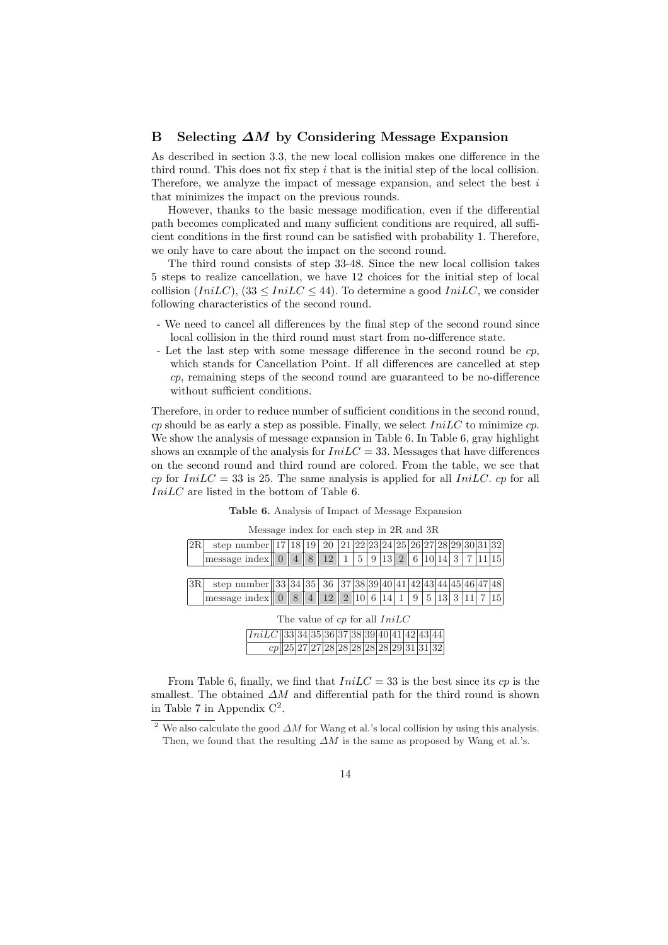## B Selecting ∆M by Considering Message Expansion

As described in section 3.3, the new local collision makes one difference in the third round. This does not fix step  $i$  that is the initial step of the local collision. Therefore, we analyze the impact of message expansion, and select the best  $i$ that minimizes the impact on the previous rounds.

However, thanks to the basic message modification, even if the differential path becomes complicated and many sufficient conditions are required, all sufficient conditions in the first round can be satisfied with probability 1. Therefore, we only have to care about the impact on the second round.

The third round consists of step 33-48. Since the new local collision takes 5 steps to realize cancellation, we have 12 choices for the initial step of local collision  $(IniLC)$ ,  $(33 \leq IniLC \leq 44)$ . To determine a good  $IniLC$ , we consider following characteristics of the second round.

- We need to cancel all differences by the final step of the second round since local collision in the third round must start from no-difference state.
- Let the last step with some message difference in the second round be cp, which stands for Cancellation Point. If all differences are cancelled at step cp, remaining steps of the second round are guaranteed to be no-difference without sufficient conditions.

Therefore, in order to reduce number of sufficient conditions in the second round, cp should be as early a step as possible. Finally, we select  $InitC$  to minimize cp. We show the analysis of message expansion in Table 6. In Table 6, gray highlight shows an example of the analysis for  $InitC = 33$ . Messages that have differences on the second round and third round are colored. From the table, we see that cp for  $InitC = 33$  is 25. The same analysis is applied for all *IniLC*. cp for all IniLC are listed in the bottom of Table 6.

| Table 6. Analysis of Impact of Message Expansion |  |  |  |  |  |
|--------------------------------------------------|--|--|--|--|--|
|--------------------------------------------------|--|--|--|--|--|

|    | Message index for each step in 2R and 3R                                                            |  |  |  |  |  |  |  |  |  |          |  |                                        |         |     |
|----|-----------------------------------------------------------------------------------------------------|--|--|--|--|--|--|--|--|--|----------|--|----------------------------------------|---------|-----|
| 2R | step number    17   18   19   20   21   22   23   24   25   26   27   28   29   30   31   32        |  |  |  |  |  |  |  |  |  |          |  |                                        |         |     |
|    | message index $\begin{bmatrix} 0 & 4 & 8 & 12 & 1 & 5 & 9 & 13 & 2 & 6 & 10 & 14 & 3 \end{bmatrix}$ |  |  |  |  |  |  |  |  |  |          |  |                                        | 7 11 15 |     |
|    |                                                                                                     |  |  |  |  |  |  |  |  |  |          |  |                                        |         |     |
| 3R | step number 33 34 35 36 37 38 39 40 41 42 43 44 5 46 47 48                                          |  |  |  |  |  |  |  |  |  |          |  |                                        |         |     |
|    | message index 0 8 4 12 1 2 10 6 14 1                                                                |  |  |  |  |  |  |  |  |  | <u>9</u> |  | $5 \;   \; 13 \;   \; 3 \;   \; 11 \;$ |         | 115 |
|    | The value of cp for all $InitC$<br>$IniLC$   33  34  35  36  37  38  39  40  41  42  43  44         |  |  |  |  |  |  |  |  |  |          |  |                                        |         |     |
|    |                                                                                                     |  |  |  |  |  |  |  |  |  |          |  |                                        |         |     |

From Table 6, finally, we find that  $InitC = 33$  is the best since its cp is the smallest. The obtained  $\Delta M$  and differential path for the third round is shown in Table 7 in Appendix  $C^2$ .

cp 25 27 27 28 28 28 28 28 29 31 31 32

<sup>&</sup>lt;sup>2</sup> We also calculate the good  $\Delta M$  for Wang et al.'s local collision by using this analysis. Then, we found that the resulting  $\Delta M$  is the same as proposed by Wang et al.'s.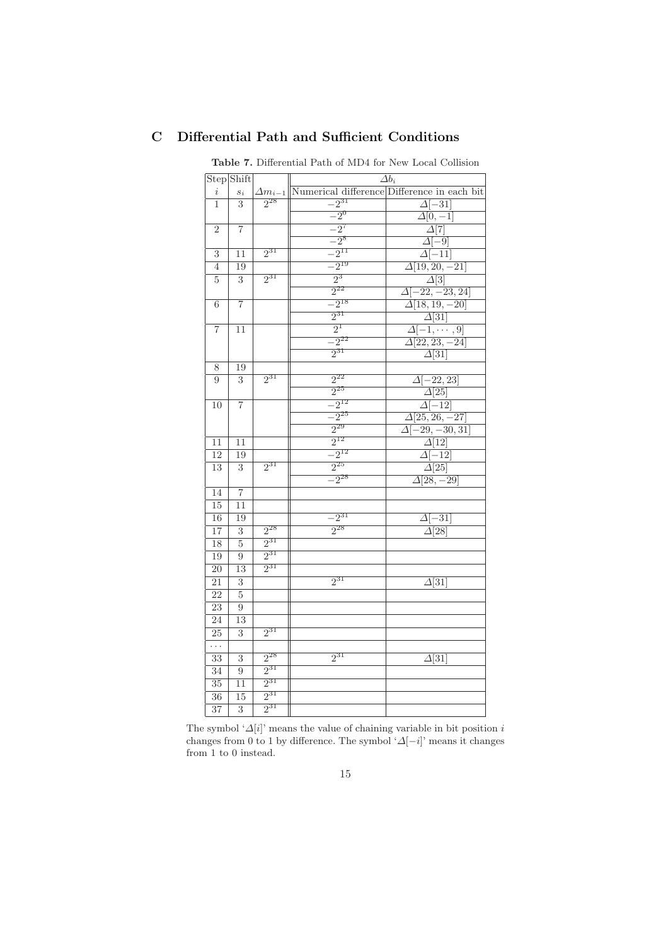|                 | Step Shift       |                  |           | $\Delta b_i$                                    |
|-----------------|------------------|------------------|-----------|-------------------------------------------------|
| $\it i$         | $\mathfrak{s}_i$ | $\Delta m_{i-1}$ |           | Numerical difference Difference in each bit     |
| 1               | 3                | $2^{28}$         | $-2^{31}$ | $\Delta[-31]$                                   |
|                 |                  |                  | $-2^{0}$  | $\overline{\Delta[0,-1]}$                       |
| $\overline{2}$  | $\overline{7}$   |                  | $-2^7$    | $\overline{\Delta}[7]$                          |
|                 |                  |                  | $-2^{8}$  | $\overline{\Delta[-9]}$                         |
| 3               | 11               | $2^{31}$         | $-2^{11}$ | $\overline{\Delta[-11]}$                        |
| $\overline{4}$  | 19               |                  | $-2^{19}$ | $\overline{\Delta[19,20,-21]}$                  |
| 5               | 3                | $2^{31}$         | $2^3$     | $\overline{\Delta[3]}$                          |
|                 |                  |                  | $2^{22}$  | $\overline{\Delta[-22,-23,24]}$                 |
| 6               | $\overline{7}$   |                  | $-2^{18}$ | $\overline{\Delta[18, 19, -20]}$                |
|                 |                  |                  | $2^{31}$  | $\Delta[31]$                                    |
| $\overline{7}$  | 11               |                  | $2^1$     |                                                 |
|                 |                  |                  | $-2^{22}$ | $\frac{\Delta[-1,\cdots,9]}{\Delta[22,23,-24]}$ |
|                 |                  |                  | $2^{31}$  | $\overline{\Delta[31]}$                         |
| 8               | 19               |                  |           |                                                 |
| 9               | 3                | $2^{31}$         | $2^{22}$  | $\Delta[-22, 23]$                               |
|                 |                  |                  | $2^{25}$  | $\Delta[25]$                                    |
| 10              | $\overline{7}$   |                  | $-2^{12}$ | $\overline{\Delta[-12]}$                        |
|                 |                  |                  | $-2^{25}$ | $\overline{\Delta[25, 26, -27]}$                |
|                 |                  |                  | $2^{29}$  | $\overline{\Delta[-29,-30,31]}$                 |
| 11              | 11               |                  | $2^{12}$  | $\Delta[12]$                                    |
| 12              | 19               |                  | $-2^{12}$ | $\overline{\Delta[-12]}$                        |
| $\overline{13}$ | 3                | $2^{31}$         | $2^{25}$  | $\overline{\Delta[25]}$                         |
|                 |                  |                  | $-2^{28}$ | $\overline{\Delta[28,-29]}$                     |
| 14              | $\overline{7}$   |                  |           |                                                 |
| 15              | 11               |                  |           |                                                 |
| 16              | 19               |                  | $-2^{31}$ | $\Delta[-31]$                                   |
| 17              | $\overline{3}$   | $2^{28}$         | $2^{28}$  | $\Delta$ [28]                                   |
| 18              | $\overline{5}$   | $2^{31}$         |           |                                                 |
| 19              | 9                | $2^{31}$         |           |                                                 |
| $\overline{20}$ | 13               | $2^{31}$         |           |                                                 |
| $\overline{21}$ | $\overline{3}$   |                  | $2^{31}$  | $\Delta$ [31]                                   |
| 22              | $\overline{5}$   |                  |           |                                                 |
| $\overline{23}$ | $\overline{9}$   |                  |           |                                                 |
| $\overline{24}$ | $\overline{13}$  |                  |           |                                                 |
| $\overline{25}$ | $\overline{3}$   | $2^{31}$         |           |                                                 |
| .               |                  |                  |           |                                                 |
| $\overline{33}$ | 3                | $2^{28}$         | $2^{31}$  | $\Delta$ [31]                                   |
| 34              | $\overline{9}$   | $2^{31}$         |           |                                                 |
| 35              | 11               | $2^{31}$         |           |                                                 |
| $\overline{36}$ | $\overline{15}$  | $2^{31}$         |           |                                                 |
| $\overline{37}$ | $\overline{3}$   | $2^{31}$         |           |                                                 |

# C Differential Path and Sufficient Conditions

Table 7. Differential Path of MD4 for New Local Collision

The symbol ' $\varDelta[i]$  ' means the value of chaining variable in bit position  $i$ changes from 0 to 1 by difference. The symbol ' $\Delta[-i]$ ' means it changes from 1 to 0 instead.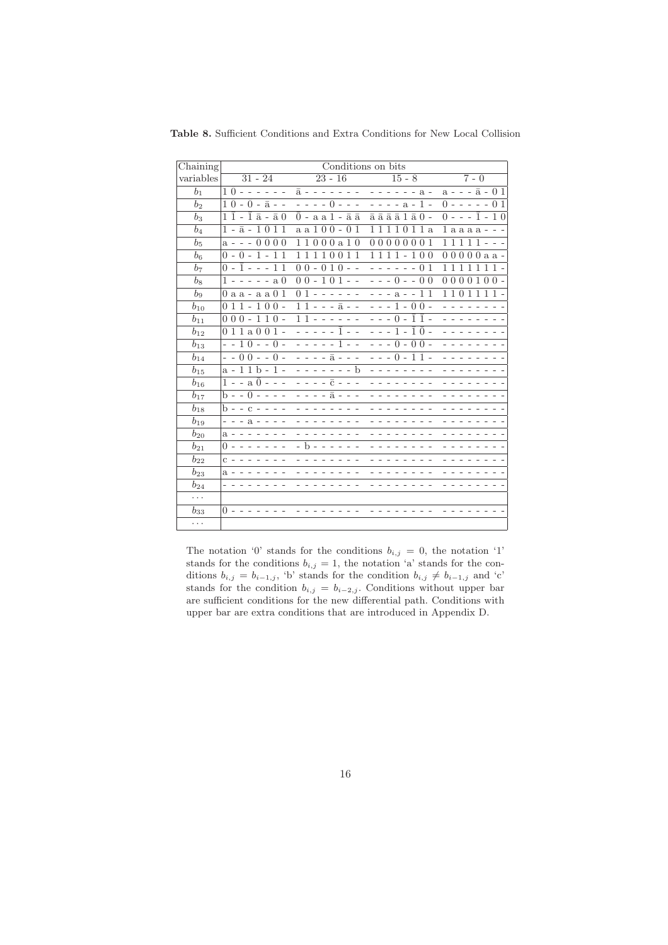| Chaining       |                                                            | Conditions on bits                                    |                                                             |                                                                  |
|----------------|------------------------------------------------------------|-------------------------------------------------------|-------------------------------------------------------------|------------------------------------------------------------------|
| variables      | $31 - 24$                                                  | $23 - 16$                                             | $15 - 8$                                                    | $7 - 0$                                                          |
| $b_1$          | $1 \bar{0} - -$                                            | $\bar{a}$ -                                           | $- - - a -$                                                 | $a - - - \bar{a} - 01$                                           |
| b <sub>2</sub> | $1 \bar{0} - \bar{0} - \bar{a} -$                          | $- - - - 0 - - -$                                     | $---a-1-$                                                   | $0 - - - - - 01$                                                 |
| b <sub>3</sub> | $1\bar{1}$ - $\bar{1}$ $\bar{a}$ - $\bar{a}$ 0             | $0$ - a a $1$ - $\bar{a}$ $\bar{a}$                   | $\bar{a}$ $\bar{a}$ $\bar{a}$ $\bar{a}$ $1$ $\bar{a}$ $0$ - | $0 - - -1 - 10$                                                  |
| $b_4$          | $1 - \bar{a} - \bar{1} \, \bar{0} \, \bar{1} \, 1$         | $a a 1 0 0 - \overline{0} \overline{1}$               | 1 a                                                         | $1$ a a a a $-$                                                  |
| $b_{5}$        | $a - - \overline{0} \overline{0} \overline{0}$<br>$\Omega$ | $000a\bar{1}\bar{0}$<br>11                            | 0<br>0 <sub>1</sub>                                         | $11111 -$                                                        |
| b <sub>6</sub> | $0 - \bar{0} - \bar{1}$ -<br>1<br>$\mathbf{1}$             | 11<br>11<br>1<br>$\mathbf{1}$<br>$\Omega$<br>$\Omega$ | 100                                                         | $00000a a -$                                                     |
| b <sub>7</sub> | $0 - \bar{1} - - - 11$                                     | $00 - 010 - -$                                        | $-01$<br>$\sim$ $\sim$<br>$  -$                             | 1111111.                                                         |
| $b_{8}$        | $1 - - - - -$ a 0                                          | $00 - 101 - -$                                        | $- - - 0 - - 00$                                            | 0 <sub>0</sub><br>$\mathbf{1}$<br>$\Omega$<br>$\Omega$<br>$00 -$ |
| $b_9$          | $0$ a a - a a $0$ 1                                        | $01 - - - - - -$                                      | - - - a - - 1 1                                             | 11011<br>11                                                      |
| $b_{10}$       | $011 - 100 -$                                              | $11 - - -\bar{a} - -$                                 | $- - - 1 - \overline{0} \, \overline{0}$ -                  |                                                                  |
| $b_{11}$       | $000 - 110 -$                                              | $11 - - - - -$                                        | $- - - 0 - \overline{1} \overline{1}$ -                     |                                                                  |
| $b_{12}$       | $011a001 -$                                                |                                                       | - - - 1 - ī ō -                                             |                                                                  |
| $b_{13}$       | $- - 10 - - 0 -$                                           | ---1--                                                | $- - - 0 - \overline{0} \, \overline{0} -$                  |                                                                  |
| $b_{14}$       | $- - 00 - - 0 -$                                           | - - - - ā - - -                                       | $- - - 0 - \overline{1} \, \overline{1}$ -                  |                                                                  |
| $b_{15}$       | $a - 11\bar{b} - 1$ -                                      | $\sim$ $\sim$<br>- - - - b                            |                                                             |                                                                  |
| $b_{16}$       | $1 - -a 0 - - -$                                           | $- \bar{C} - - -$                                     |                                                             |                                                                  |
| $b_{17}$       | $b - - 0 - - - -$                                          | $- - \bar{a} - -$                                     |                                                             |                                                                  |
| $b_{18}$       | $b - c - - -$                                              |                                                       |                                                             |                                                                  |
| $b_{19}$       | $- - - a - - - -$                                          |                                                       |                                                             |                                                                  |
| $b_{20}$       | $a - - - -$                                                |                                                       |                                                             |                                                                  |
| $b_{21}$       | 0 - - - - -                                                | - b -                                                 |                                                             |                                                                  |
| $b_{22}$       | $C - - - - - -$                                            |                                                       |                                                             |                                                                  |
| $b_{23}$       | $a -$                                                      |                                                       |                                                             |                                                                  |
| $b_{24}$       |                                                            |                                                       |                                                             |                                                                  |
| .              |                                                            |                                                       |                                                             |                                                                  |
| $b_{33}$       | $() - -$                                                   |                                                       |                                                             |                                                                  |
| .              |                                                            |                                                       |                                                             |                                                                  |

Table 8. Sufficient Conditions and Extra Conditions for New Local Collision

The notation '0' stands for the conditions  $b_{i,j} = 0$ , the notation '1' stands for the conditions  $b_{i,j} = 1$ , the notation 'a' stands for the conditions  $b_{i,j} = b_{i-1,j}$ , 'b' stands for the condition  $b_{i,j} \neq b_{i-1,j}$  and 'c' stands for the condition  $b_{i,j} = b_{i-2,j}$ . Conditions without upper bar are sufficient conditions for the new differential path. Conditions with upper bar are extra conditions that are introduced in Appendix D.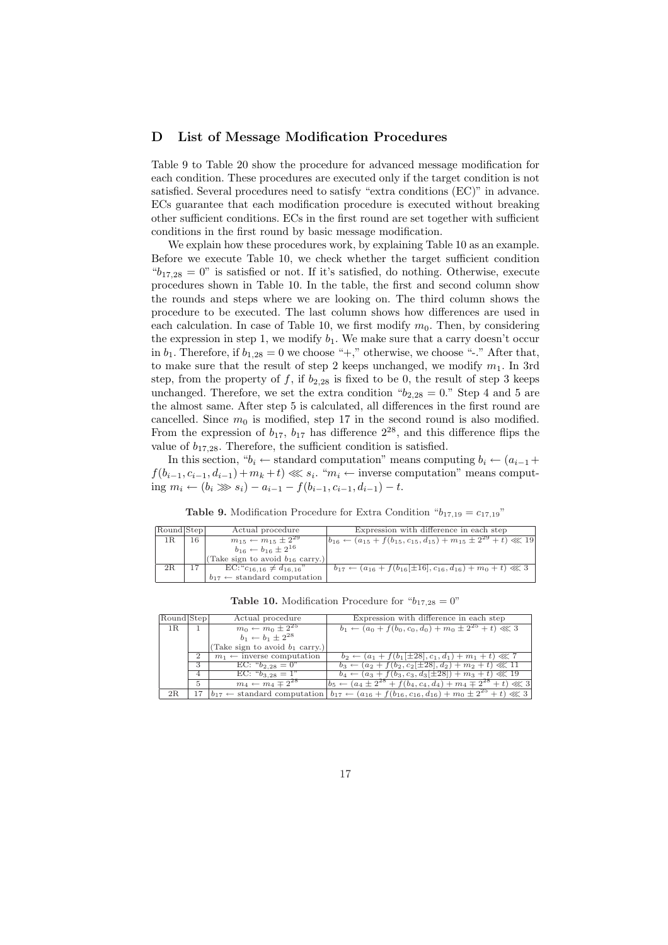## D List of Message Modification Procedures

Table 9 to Table 20 show the procedure for advanced message modification for each condition. These procedures are executed only if the target condition is not satisfied. Several procedures need to satisfy "extra conditions (EC)" in advance. ECs guarantee that each modification procedure is executed without breaking other sufficient conditions. ECs in the first round are set together with sufficient conditions in the first round by basic message modification.

We explain how these procedures work, by explaining Table 10 as an example. Before we execute Table 10, we check whether the target sufficient condition " $b_{17,28} = 0$ " is satisfied or not. If it's satisfied, do nothing. Otherwise, execute procedures shown in Table 10. In the table, the first and second column show the rounds and steps where we are looking on. The third column shows the procedure to be executed. The last column shows how differences are used in each calculation. In case of Table 10, we first modify  $m_0$ . Then, by considering the expression in step 1, we modify  $b_1$ . We make sure that a carry doesn't occur in  $b_1$ . Therefore, if  $b_{1,28} = 0$  we choose "+," otherwise, we choose "-." After that, to make sure that the result of step 2 keeps unchanged, we modify  $m_1$ . In 3rd step, from the property of f, if  $b_{2,28}$  is fixed to be 0, the result of step 3 keeps unchanged. Therefore, we set the extra condition " $b_{2,28} = 0$ ." Step 4 and 5 are the almost same. After step 5 is calculated, all differences in the first round are cancelled. Since  $m_0$  is modified, step 17 in the second round is also modified. From the expression of  $b_{17}$ ,  $b_{17}$  has difference  $2^{28}$ , and this difference flips the value of  $b_{17,28}$ . Therefore, the sufficient condition is satisfied.

In this section, " $b_i \leftarrow$  standard computation" means computing  $b_i \leftarrow (a_{i-1} + a_i)$  $f(b_{i-1}, c_{i-1}, d_{i-1}) + m_k + t \ll s_i$ . " $m_i \leftarrow$  inverse computation" means computing  $m_i$  ←  $(b_i \gg s_i) - a_{i-1} - f(b_{i-1}, c_{i-1}, d_{i-1}) - t$ .

|    | Round Step | Actual procedure                                 | Expression with difference in each step                                                  |
|----|------------|--------------------------------------------------|------------------------------------------------------------------------------------------|
| 1R | 16         | $m_{15} \leftarrow m_{15} \pm \overline{2^{29}}$ | $ b_{16} \leftarrow (a_{15} + f(b_{15}, c_{15}, d_{15}) + m_{15} \pm 2^{29} + t) \ll 19$ |
|    |            | $b_{16} \leftarrow b_{16} \pm 2^{16}$            |                                                                                          |
|    |            | (Take sign to avoid $b_{16}$ carry.)             |                                                                                          |
| 2R |            | $EC:$ " $c_{16,16} \neq d_{16,16}$ "             | $b_{17} \leftarrow (a_{16} + f(b_{16}[\pm 16], c_{16}, d_{16}) + m_0 + t) \ll 3$         |
|    |            | $b_{17} \leftarrow$ standard computation         |                                                                                          |

**Table 10.** Modification Procedure for " $b_{17,28} = 0$ "

**Table 9.** Modification Procedure for Extra Condition " $b_{17,19} = c_{17,19}$ "

| Round Step |                | Actual procedure                     | Expression with difference in each step                                                                                        |
|------------|----------------|--------------------------------------|--------------------------------------------------------------------------------------------------------------------------------|
| 1R         |                | $m_0 \leftarrow m_0 \pm 2^{25}$      | $b_1 \leftarrow (a_0 + f(b_0, c_0, d_0) + m_0 \pm 2^{25} + t) \ll 3$                                                           |
|            |                | $b_1 \leftarrow b_1 \pm 2^{28}$      |                                                                                                                                |
|            |                | (Take sign to avoid $b_1$ carry.)    |                                                                                                                                |
|            | 2              | $m_1 \leftarrow$ inverse computation | $b_2 \leftarrow (a_1 + f(b_1 \pm 28), c_1, d_1) + m_1 + t \ll 7$                                                               |
|            | 3              | EC: $b_{2,28} = 0$ "                 | $b_3 \leftarrow (a_2 + f(b_2, c_2   \pm 28), d_2) + m_2 + t \ll 11$                                                            |
|            | $\overline{4}$ | EC: $b_{3.28} = 1$ "                 | $b_4 \leftarrow (a_3 + f(b_3, c_3, d_3 \pm 28)) + m_3 + t \ll 19$                                                              |
|            | 5              | $m_4 \leftarrow m_4 \mp 2^{28}$      | $ b_5 \leftarrow (a_4 \pm 2^{28} + f(b_4, c_4, d_4) + m_4 \mp 2^{28} + t) \ll 3$                                               |
| 2R         |                |                                      | $b_{17} \leftarrow$ standard computation $  b_{17} \leftarrow (a_{16} + f(b_{16}, c_{16}, d_{16}) + m_0 \pm 2^{25} + t) \ll 3$ |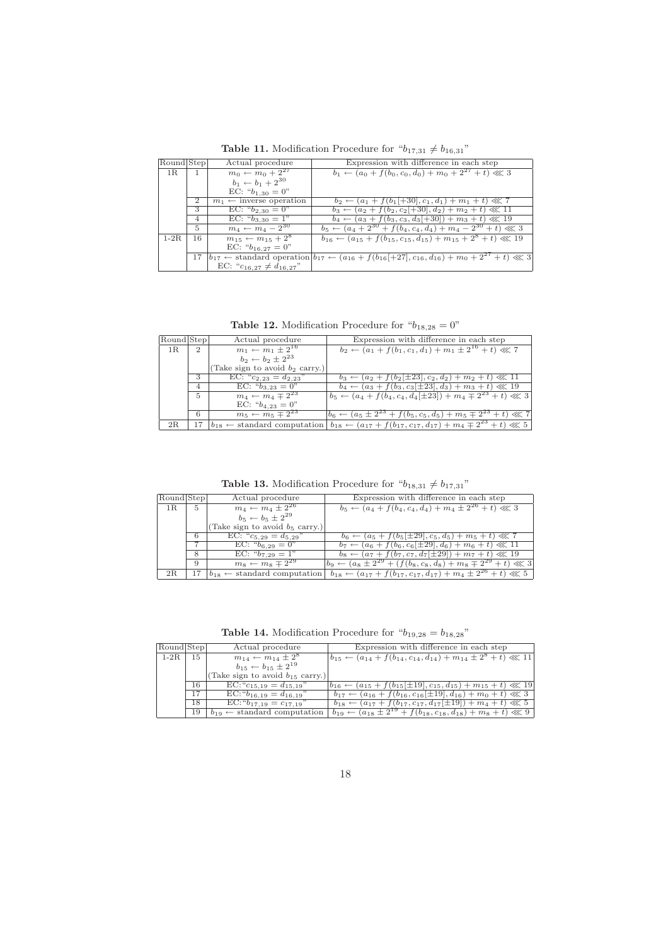Table 11. Modification Procedure for  $\text{``}b_{17,31} \neq b_{16,31}\text{''}$ 

| Round Step |                | Actual procedure                   | Expression with difference in each step                                                                                       |
|------------|----------------|------------------------------------|-------------------------------------------------------------------------------------------------------------------------------|
| 1R         | $\mathbf{1}$   | $m_0 \leftarrow m_0 + 2^{27}$      | $b_1 \leftarrow (a_0 + f(b_0, c_0, d_0) + m_0 + 2^{27} + t) \ll 3$                                                            |
|            |                | $b_1 \leftarrow b_1 + 2^{30}$      |                                                                                                                               |
|            |                | EC: " $b_{1,30} = 0$ "             |                                                                                                                               |
|            | $\overline{2}$ | $m_1 \leftarrow$ inverse operation | $b_2 \leftarrow (a_1 + f(b_1 +30], c_1, d_1) + m_1 + t) \ll 7$                                                                |
|            | 3              | EC: $b_{2,30} = 0$ "               | $b_3 \leftarrow (a_2 + f(b_2, c_2[+30], d_2) + m_2 + t) \ll 11$                                                               |
|            | $\overline{4}$ | EC: $b_{3,30} = 1$ "               | $b_4 \leftarrow (a_3 + f(b_3, c_3, d_3[+30]) + m_3 + t) \ll 19$                                                               |
|            | 5              | $m_4 \leftarrow m_4 - 2^{30}$      | $b_5 \leftarrow (a_4 + 2^{30} + f(b_4, c_4, d_4) + m_4 - 2^{30} + t) \ll 3$                                                   |
| $1-2R$     | 16             | $m_{15} \leftarrow m_{15} + 2^8$   | $b_{16} \leftarrow (a_{15} + f(b_{15}, c_{15}, d_{15}) + m_{15} + 2^8 + t) \ll 19$                                            |
|            |                | EC: " $b_{16.27} = 0$ "            |                                                                                                                               |
|            | 17             |                                    | $b_{17} \leftarrow$ standard operation $b_{17} \leftarrow (a_{16} + f(b_{16}[-17], c_{16}, d_{16}) + m_0 + 2^{27} + t) \ll 3$ |
|            |                | EC: " $c_{16,27} \neq d_{16,27}$ " |                                                                                                                               |

**Table 12.** Modification Procedure for " $b_{18,28} = 0$ "

| Round Step |                | Actual procedure                  | Expression with difference in each step                                                                                      |
|------------|----------------|-----------------------------------|------------------------------------------------------------------------------------------------------------------------------|
| 1R         | $\mathfrak{D}$ | $m_1 \leftarrow m_1 \pm 2^{16}$   | $b_2 \leftarrow (a_1 + f(b_1, c_1, d_1) + m_1 \pm 2^{16} + t) \ll 7$                                                         |
|            |                | $b_2 \leftarrow b_2 \pm 2^{23}$   |                                                                                                                              |
|            |                | (Take sign to avoid $b_2$ carry.) |                                                                                                                              |
|            | 3              | EC: " $c_{2,23} = d_{2,23}$ "     | $b_3 \leftarrow (a_2 + f(b_2   \pm 23  , c_2, d_2) + m_2 + t) \ll 11$                                                        |
|            | $\overline{4}$ | EC: $b_{3,23} = 0$ "              | $b_4 \leftarrow (a_3 + f(b_3, c_3[\pm 2\overline{3}], d_3) + m_3 + t) \ll 19$                                                |
|            | 5              | $m_4 \leftarrow m_4 \mp 2^{23}$   | $b_5 \leftarrow (a_4 + f(b_4, c_4, d_4[\pm 23]) + m_4 \mp 2^{23} + t) \ll 3$                                                 |
|            |                | EC: " $b_{4,23} = 0$ "            |                                                                                                                              |
|            | 6              | $m_5 \leftarrow m_5 \mp 2^{23}$   | $ b_6 \leftarrow (a_5 \pm 2^{23} + f(b_5, c_5, d_5) + m_5 \mp 2^{23} + t) \ll 7$                                             |
| 2R         | 17             |                                   | $b_{18} \leftarrow$ standard computation $b_{18} \leftarrow (a_{17} + f(b_{17}, c_{17}, d_{17}) + m_4 \mp 2^{23} + t) \ll 5$ |

**Table 13.** Modification Procedure for  $"b_{18,31} \neq b_{17,31}"$ 

| Round Step |          | Actual procedure                  | Expression with difference in each step                                                                                      |
|------------|----------|-----------------------------------|------------------------------------------------------------------------------------------------------------------------------|
| 1R         | $-5$ $+$ | $m_4 \leftarrow m_4 \pm 2^{26}$   | $b_5 \leftarrow (a_4 + f(b_4, c_4, d_4) + m_4 \pm 2^{26} + t) \ll 3$                                                         |
|            |          | $b_5 \leftarrow b_5 \pm 2^{29}$   |                                                                                                                              |
|            |          | (Take sign to avoid $b_5$ carry.) |                                                                                                                              |
|            | 6        | EC: " $c_{5,29} = d_{5,29}$ "     | $b_6 \leftarrow (a_5 + f(b_5[\pm 29], c_5, d_5) + m_5 + t) \ll 7$                                                            |
|            |          | EC: $b_{6,29} = 0$ "              | $b_7 \leftarrow (a_6 + f(b_6, c_6[\pm 29], d_6) + m_6 + t) \ll 11$                                                           |
|            | 8        | EC: $b_{7,29} = 1$ "              | $b_8 \leftarrow (a_7 + f(b_7, c_7, d_7   \pm 29) + m_7 + t) \ll 19$                                                          |
|            | 9        | $m_8 \leftarrow m_8 \mp 2^{29}$   | $b_9 \leftarrow (a_8 \pm 2^{29} + (f(b_8, c_8, d_8) + m_8 \mp 2^{29} + t) \ll 3$                                             |
| 2R         | 17       |                                   | $b_{18} \leftarrow$ standard computation $b_{18} \leftarrow (a_{17} + f(b_{17}, c_{17}, d_{17}) + m_4 \pm 2^{26} + t) \ll 5$ |

**Table 14.** Modification Procedure for " $b_{19,28} = b_{18,28}$ "

| Round Step |    | Actual procedure                         | Expression with difference in each step                                               |
|------------|----|------------------------------------------|---------------------------------------------------------------------------------------|
| $1-2R$     | 15 | $m_{14} \leftarrow m_{14} \pm 2^8$       | $ b_{15} \leftarrow (a_{14} + f(b_{14}, c_{14}, d_{14}) + m_{14} \pm 2^8 + t) \ll 11$ |
|            |    | $b_{15} \leftarrow b_{15} \pm 2^{19}$    |                                                                                       |
|            |    | (Take sign to avoid $b_{15}$ carry.)     |                                                                                       |
|            | 16 | $EC:$ " $c_{15,19} = d_{15,19}$ "        | $ b_{16} \leftarrow (a_{15} + f(b_{15} \pm 19), c_{15}, d_{15}) + m_{15} + t \ll 19$  |
|            | 17 | $EC:$ $b_{16.19} = d_{16.19}$            | $b_{17} \leftarrow (a_{16} + f(b_{16}, c_{16} \pm 19), d_{16}) + m_0 + t \ll 3$       |
|            | 18 | $EC:$ " $b_{17,19} = c_{17,19}$ "        | $b_{18} \leftarrow (a_{17} + f(b_{17}, c_{17}, d_{17}[\pm 19]) + m_4 + t) \ll 5$      |
|            | 19 | $b_{19} \leftarrow$ standard computation | $b_{19} \leftarrow (a_{18} \pm 2^{19} + f(b_{18}, c_{18}, d_{18}) + m_8 + t) \ll 9$   |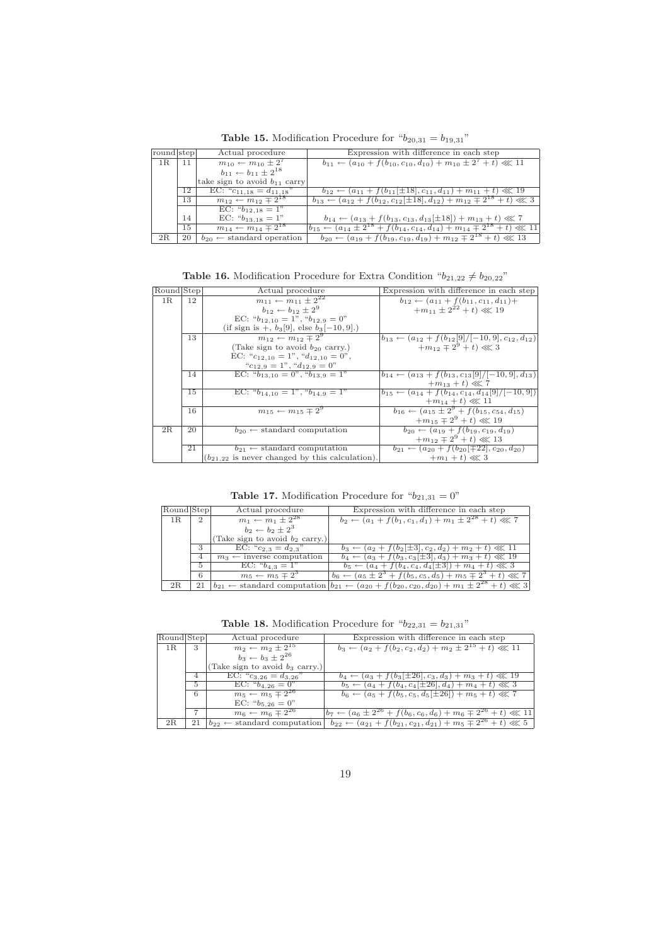round step Actual procedure Expression with difference in each step 1R 11  $m_{10} \leftarrow m_{10} \pm 2^7$  $b_{11} \leftarrow (a_{10} + f(b_{10}, c_{10}, d_{10}) + m_{10} \pm 2^7 + t) \ll 11$  $b_{11} \leftarrow b_{11} \pm 2^{18}$ take sign to avoid  $b_{11}$  carry 12 EC: " $c_{11,18} = d_{11,18}$ "  $b_{12} \leftarrow (a_{11} + f(b_{11} \pm 18), c_{11}, d_{11}) + m_{11} + t) \ll 19$ <br>
13  $m_{12} \leftarrow m_{12} \mp 2^{18}$   $b_{13} \leftarrow (a_{12} + f(b_{12}, c_{12} \pm 18), d_{12}) + m_{12} \mp 2^{18} + t) \ll 3$  $\frac{13}{\text{EC: } "b_{12,18} = 1"}$ 14 EC:  ${}^{6}b_{13,18} = 1"$   $b_{14} \leftarrow (a_{13} + f(b_{13}, c_{13}, d_{13}[\pm 18]) + m_{13} + t) \ll 7$ <br>  $m_{14} \leftarrow m_{14} \mp 2^{18}$   $b_{15} \leftarrow (a_{14} \pm 2^{18} + f(b_{14}, c_{14}, d_{14}) + m_{14} \mp 2^{18} + t) \ll 11$ 15  $m_{14} \leftarrow m_{14} \mp 2^{18}$ 

**Table 15.** Modification Procedure for " $b_{20,31} = b_{19,31}$ "

**Table 16.** Modification Procedure for Extra Condition " $b_{21,22} \neq b_{20,22}$ "

2R 20  $b_{20} \leftarrow$  standard operation  $b_{20} \leftarrow (a_{19} + f(b_{19}, c_{19}, d_{19}) + m_{12} \mp 2^{18} + t) \ll 13$ 

| Round Step |    | Actual procedure                                    | Expression with difference in each step                              |
|------------|----|-----------------------------------------------------|----------------------------------------------------------------------|
| 1R         | 12 | $m_{11} \leftarrow m_{11} \pm 2^{22}$               | $b_{12} \leftarrow (a_{11} + f(b_{11}, c_{11}, d_{11}) +$            |
|            |    | $b_{12} \leftarrow b_{12} \pm 2^9$                  | $+m_{11} \pm 2^{22} + t \ll 19$                                      |
|            |    | EC: $b_{12,10} = 1$ ", $b_{12,9} = 0$ "             |                                                                      |
|            |    | (if sign is $+$ , $b_3[9]$ , else $b_3[-10, 9]$ .)  |                                                                      |
|            | 13 | $m_{12} \leftarrow m_{12} \mp 2^9$                  | $ b_{13} \leftarrow (a_{12} + f(b_{12}[9]/[-10, 9], c_{12}, d_{12})$ |
|            |    | (Take sign to avoid $b_{20}$ carry.)                | $+m_{12} \mp 2^9 + t \ll 3$                                          |
|            |    | EC: " $c_{12,10} = 1$ ", " $d_{12,10} = 0$ ",       |                                                                      |
|            |    | $C_{12,9} = 1$ ", " $d_{12,9} = 0$ "                |                                                                      |
|            | 14 | EC: $b_{13,10} = 0$ ", $b_{13,9} = 1$ "             | $ b_{14} \leftarrow (a_{13} + f(b_{13}, c_{13}[9]/[-10, 9], d_{13})$ |
|            |    |                                                     | $+m_{13}+t \ll 7$                                                    |
|            | 15 | EC: $b_{14.10} = 1$ ", $b_{14.9} = 1$ "             | $b_{15} \leftarrow (a_{14} + f(b_{14}, c_{14}, d_{14}[9]/[-10, 9])$  |
|            |    |                                                     | $+m_{14}+t \ll 11$                                                   |
|            | 16 | $m_{15} \leftarrow m_{15} \pm 2^9$                  | $b_{16} \leftarrow (a_{15} \pm 2^9 + f(b_{15}, c_{54}, d_{15}))$     |
|            |    |                                                     | $+m_{15} \mp 2^9 + t \ll 19$                                         |
| 2R         | 20 | $b_{20} \leftarrow$ standard computation            | $b_{20} \leftarrow (a_{19} + f(b_{19}, c_{19}, d_{19})$              |
|            |    |                                                     | $+m_{12} \mp 2^9 + t \ll 13$                                         |
|            | 21 | $b_{21} \leftarrow$ standard computation            | $b_{21} \leftarrow (a_{20} + f(b_{20} \mid \mp 22), c_{20}, d_{20})$ |
|            |    | $(b_{21.22}$ is never changed by this calculation). | $+m_1 + t \ll 3$                                                     |

**Table 17.** Modification Procedure for " $b_{21,31} = 0$ "

| Round Step |                | Actual procedure                     | Expression with difference in each step                                                                                        |
|------------|----------------|--------------------------------------|--------------------------------------------------------------------------------------------------------------------------------|
| 1 R.       | $\overline{2}$ | $m_1 \leftarrow m_1 \pm 2^{28}$      | $b_2 \leftarrow (a_1 + f(b_1, c_1, d_1) + m_1 \pm 2^{28} + t) \ll 7$                                                           |
|            |                | $b_2 \leftarrow b_2 \pm 2^3$         |                                                                                                                                |
|            |                | (Take sign to avoid $b_2$ carry.)    |                                                                                                                                |
|            |                | EC: $C_{2,3} = d_{2,3}$              | $b_3 \leftarrow (a_2 + f(b_2   \pm 3], c_2, d_2) + m_2 + t) \ll 11$                                                            |
|            | 4              | $m_3 \leftarrow$ inverse computation | $b_4 \leftarrow (a_3 + f(b_3, c_3[\pm 3], d_3) + m_3 + t) \ll 19$                                                              |
|            | 5              | EC: $b_{4,3} = 1$ "                  | $b_5 \leftarrow (a_4 + f(b_4, c_4, d_4[\pm 3]) + m_4 + t) \ll 3$                                                               |
|            | 6              | $m_5 \leftarrow m_5 \pm 2^3$         | $b_6 \leftarrow (a_5 \pm 2^3 + f(b_5, c_5, d_5) + m_5 \mp 2^3 + t) \ll 7$                                                      |
| 2R         | 21             |                                      | $b_{21} \leftarrow$ standard computation $ b_{21} \leftarrow (a_{20} + f(b_{20}, c_{20}, d_{20}) + m_1 \pm 2^{28} + t) \ll 3 $ |

**Table 18.** Modification Procedure for " $b_{22,31} = b_{21,31}$ "

| Round Step |                | Actual procedure                  | Expression with difference in each step                                                                                      |
|------------|----------------|-----------------------------------|------------------------------------------------------------------------------------------------------------------------------|
| 1R         | 3              | $m_2 \leftarrow m_2 \pm 2^{15}$   | $b_3 \leftarrow (a_2 + f(b_2, c_2, d_2) + m_2 \pm 2^{15} + t) \ll 11$                                                        |
|            |                | $b_3 \leftarrow b_3 \pm 2^{26}$   |                                                                                                                              |
|            |                | (Take sign to avoid $b_3$ carry.) |                                                                                                                              |
|            | $\overline{4}$ | EC: $C_{3,26} = d_{3,26}$         | $b_4 \leftarrow (a_3 + f(b_3[\pm 26], c_3, d_3) + m_3 + t) \ll 19$                                                           |
|            | $\overline{5}$ | EC: $b_{4,26} = 0$ "              | $b_5 \leftarrow (a_4 + f(b_4, c_4[\pm 26], d_4) + m_4 + t) \ll 3$                                                            |
|            | 6              | $m_5 \leftarrow m_5 \mp 2^{26}$   | $b_6 \leftarrow (a_5 + f(b_5, c_5, d_5[\pm 26]) + m_5 + t) \ll 7$                                                            |
|            |                | EC: " $b_{5,26} = 0$ "            |                                                                                                                              |
|            | 7              | $m_6 \leftarrow m_6 \mp 2^{26}$   | $b_7 \leftarrow (a_6 \pm 2^{26} + f(b_6, c_6, d_6) + m_6 \mp 2^{26} + t) \ll 11$                                             |
| 2R         | 21             |                                   | $b_{22} \leftarrow$ standard computation $b_{22} \leftarrow (a_{21} + f(b_{21}, c_{21}, d_{21}) + m_5 \mp 2^{26} + t) \ll 5$ |